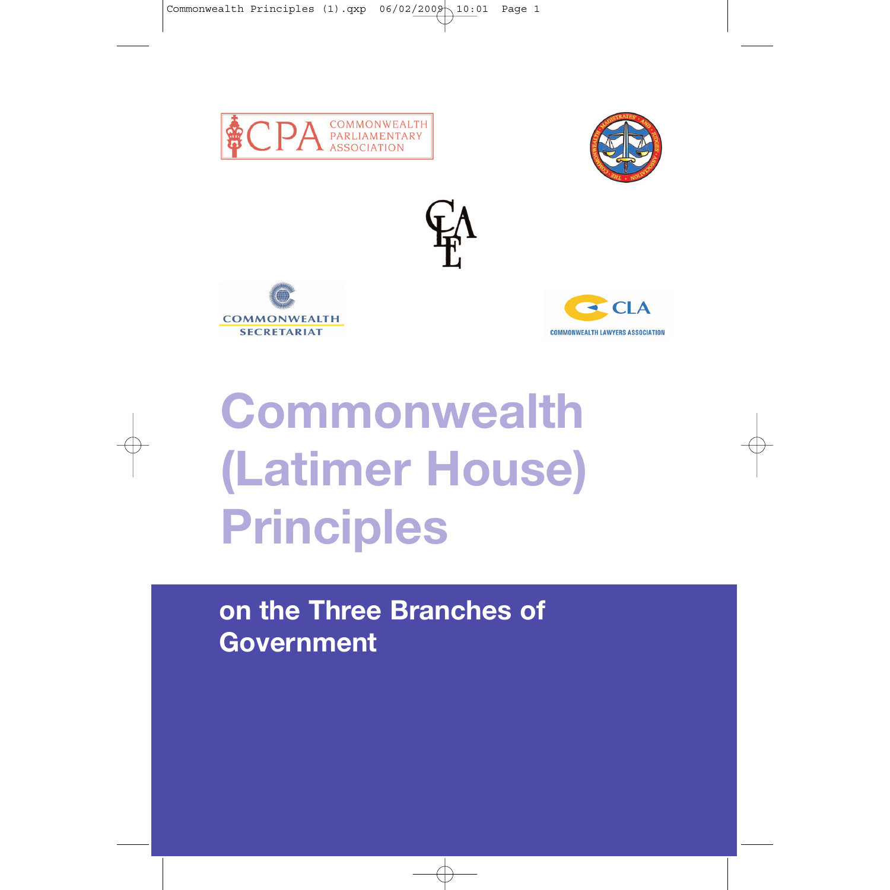

 $\blacktriangleleft$  CLA



COMMONWEALTH PARLIAMENTARY **ASSOCIATION** 



**on the Three Branches of Government**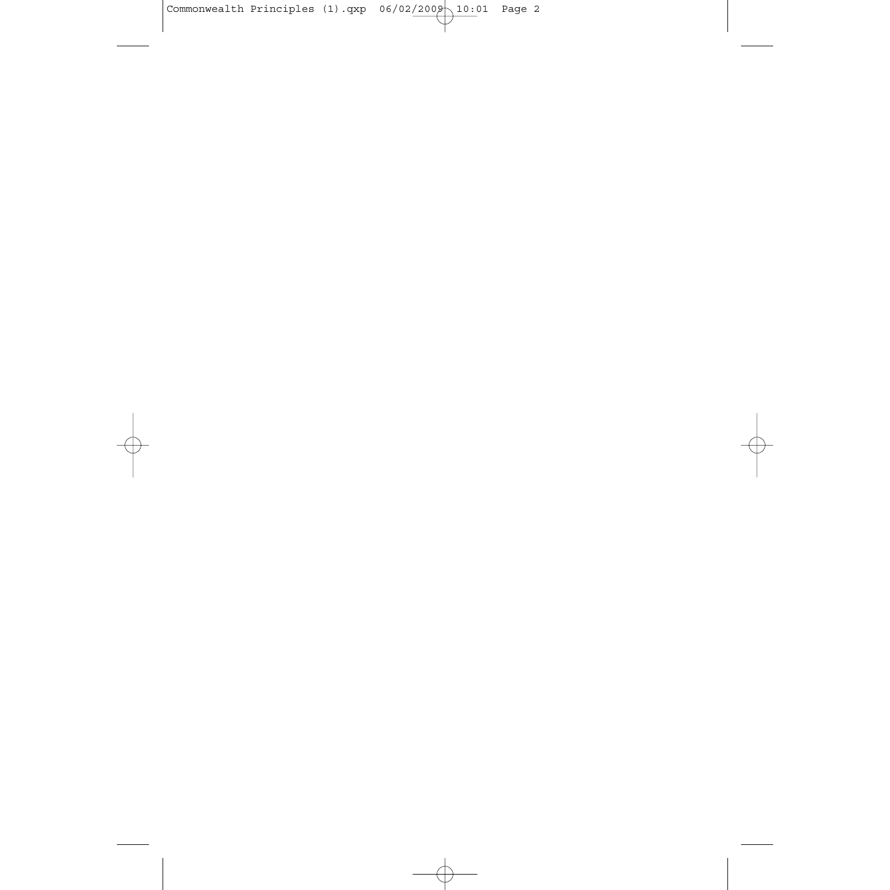Æ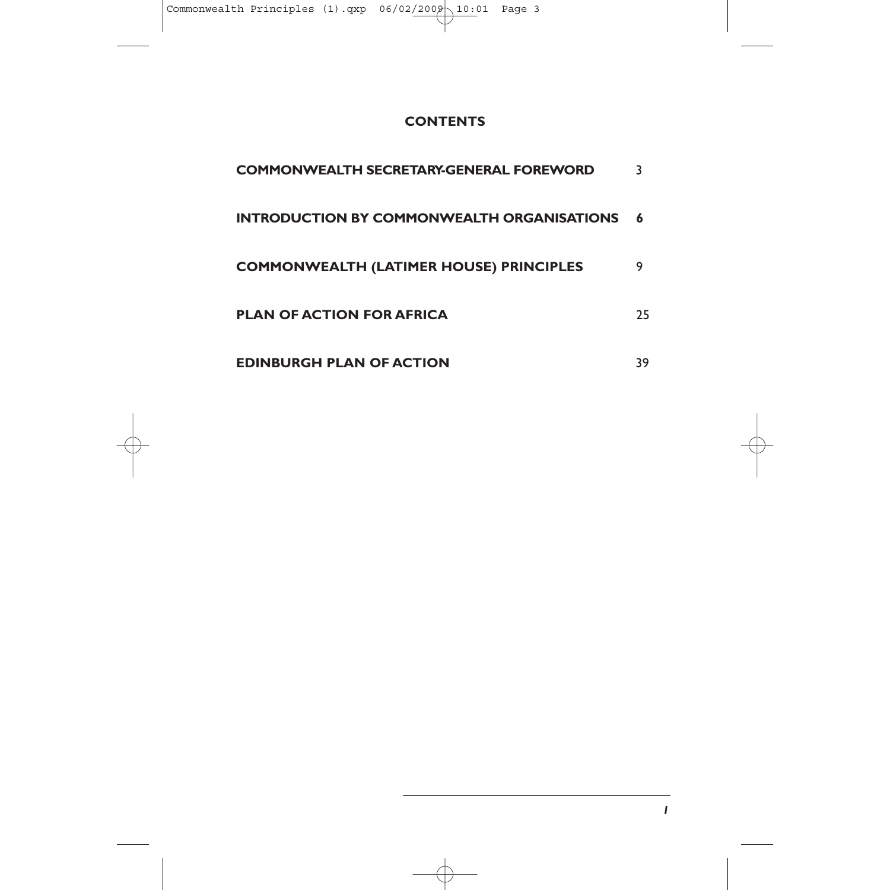# **CONTENTS**

| <b>COMMONWEALTH SECRETARY-GENERAL FOREWORD</b>    |    |
|---------------------------------------------------|----|
| <b>INTRODUCTION BY COMMONWEALTH ORGANISATIONS</b> | 6  |
| <b>COMMONWEALTH (LATIMER HOUSE) PRINCIPLES</b>    |    |
| <b>PLAN OF ACTION FOR AFRICA</b>                  | 25 |
| <b>EDINBURGH PLAN OF ACTION</b>                   | 39 |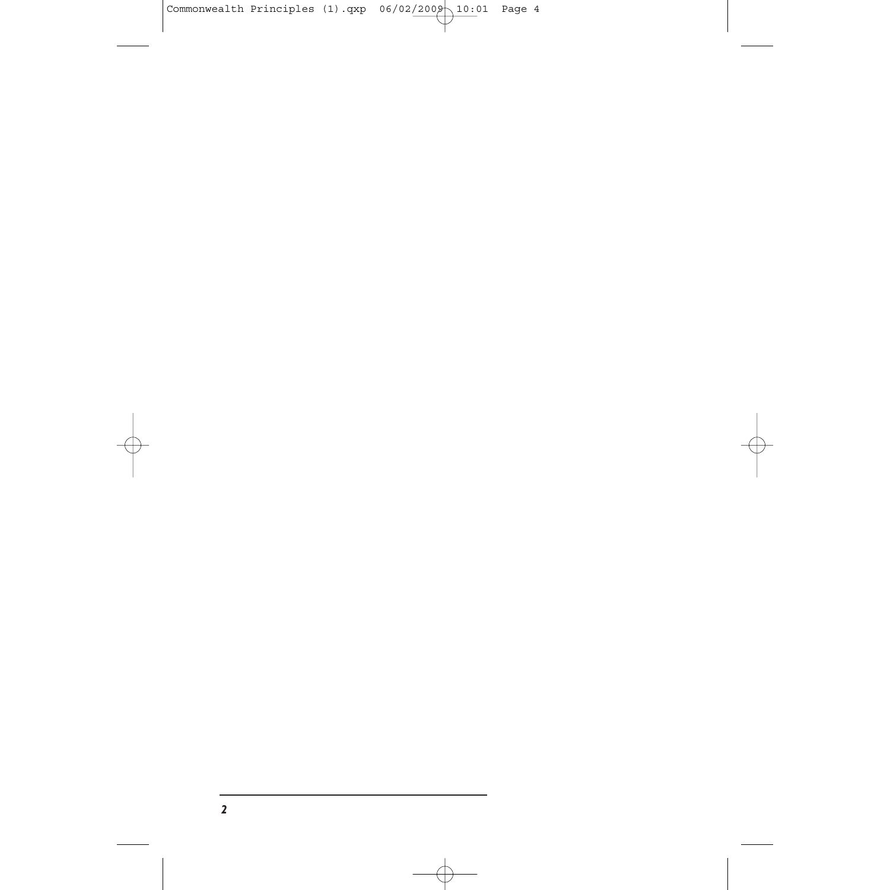*2*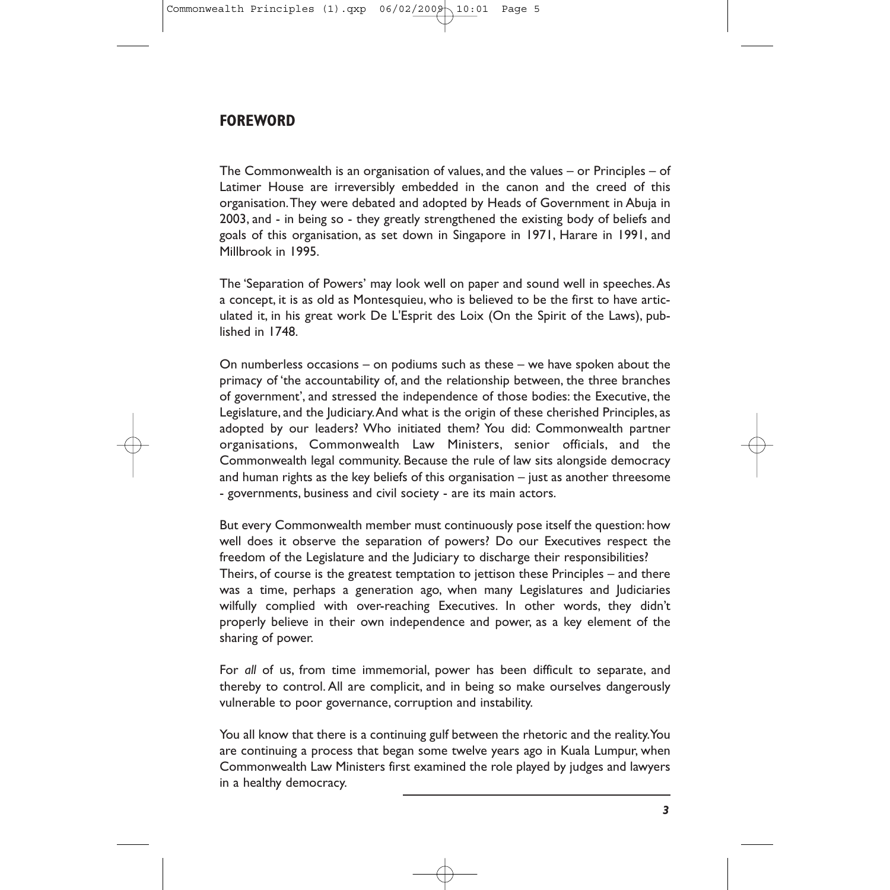# **FOREWORD**

The Commonwealth is an organisation of values, and the values – or Principles – of Latimer House are irreversibly embedded in the canon and the creed of this organisation.They were debated and adopted by Heads of Government in Abuja in 2003, and - in being so - they greatly strengthened the existing body of beliefs and goals of this organisation, as set down in Singapore in 1971, Harare in 1991, and Millbrook in 1995.

The 'Separation of Powers' may look well on paper and sound well in speeches.As a concept, it is as old as Montesquieu, who is believed to be the first to have articulated it, in his great work De L'Esprit des Loix (On the Spirit of the Laws), published in 1748.

On numberless occasions – on podiums such as these – we have spoken about the primacy of 'the accountability of, and the relationship between, the three branches of government', and stressed the independence of those bodies: the Executive, the Legislature, and the Judiciary.And what is the origin of these cherished Principles, as adopted by our leaders? Who initiated them? You did: Commonwealth partner organisations, Commonwealth Law Ministers, senior officials, and the Commonwealth legal community. Because the rule of law sits alongside democracy and human rights as the key beliefs of this organisation – just as another threesome - governments, business and civil society - are its main actors.

But every Commonwealth member must continuously pose itself the question: how well does it observe the separation of powers? Do our Executives respect the freedom of the Legislature and the Judiciary to discharge their responsibilities? Theirs, of course is the greatest temptation to jettison these Principles – and there was a time, perhaps a generation ago, when many Legislatures and Judiciaries wilfully complied with over-reaching Executives. In other words, they didn't properly believe in their own independence and power, as a key element of the sharing of power.

For *all* of us, from time immemorial, power has been difficult to separate, and thereby to control. All are complicit, and in being so make ourselves dangerously vulnerable to poor governance, corruption and instability.

You all know that there is a continuing gulf between the rhetoric and the reality.You are continuing a process that began some twelve years ago in Kuala Lumpur, when Commonwealth Law Ministers first examined the role played by judges and lawyers in a healthy democracy.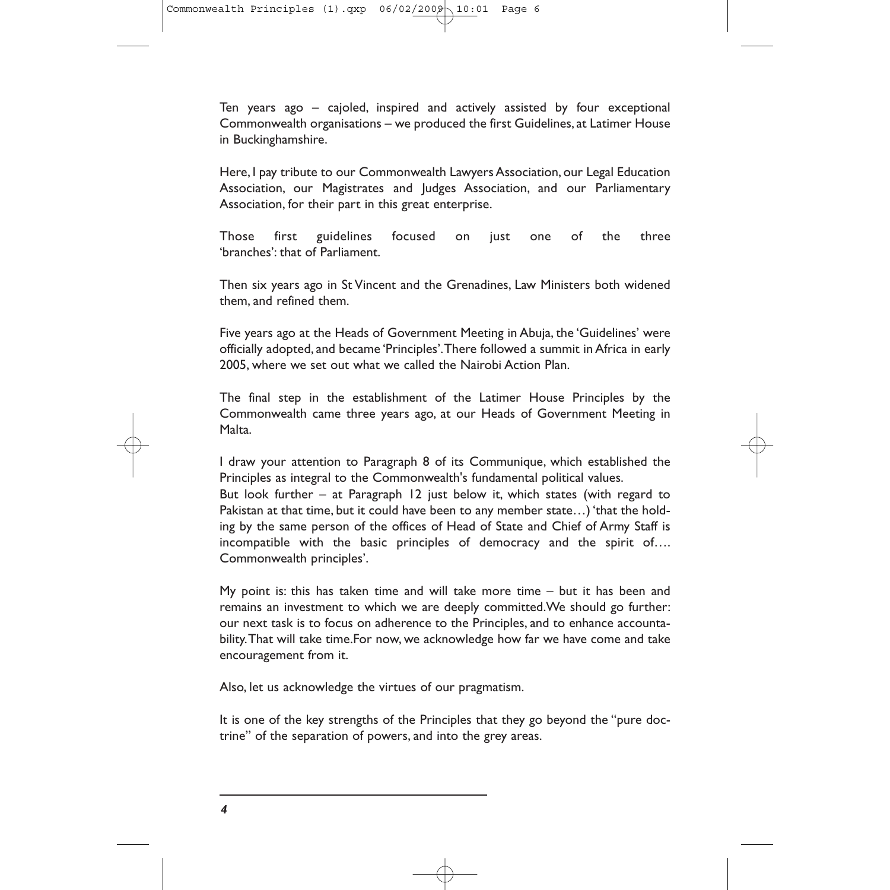Ten years ago – cajoled, inspired and actively assisted by four exceptional Commonwealth organisations – we produced the first Guidelines, at Latimer House in Buckinghamshire.

Here, I pay tribute to our Commonwealth Lawyers Association, our Legal Education Association, our Magistrates and Judges Association, and our Parliamentary Association, for their part in this great enterprise.

Those first guidelines focused on just one of the three 'branches': that of Parliament.

Then six years ago in St Vincent and the Grenadines, Law Ministers both widened them, and refined them.

Five years ago at the Heads of Government Meeting in Abuja, the 'Guidelines' were officially adopted, and became 'Principles'.There followed a summit in Africa in early 2005, where we set out what we called the Nairobi Action Plan.

The final step in the establishment of the Latimer House Principles by the Commonwealth came three years ago, at our Heads of Government Meeting in Malta.

I draw your attention to Paragraph 8 of its Communique, which established the Principles as integral to the Commonwealth's fundamental political values.

But look further – at Paragraph 12 just below it, which states (with regard to Pakistan at that time, but it could have been to any member state…) 'that the holding by the same person of the offices of Head of State and Chief of Army Staff is incompatible with the basic principles of democracy and the spirit of…. Commonwealth principles'.

My point is: this has taken time and will take more time – but it has been and remains an investment to which we are deeply committed.We should go further: our next task is to focus on adherence to the Principles, and to enhance accountability.That will take time.For now, we acknowledge how far we have come and take encouragement from it.

Also, let us acknowledge the virtues of our pragmatism.

It is one of the key strengths of the Principles that they go beyond the "pure doctrine" of the separation of powers, and into the grey areas.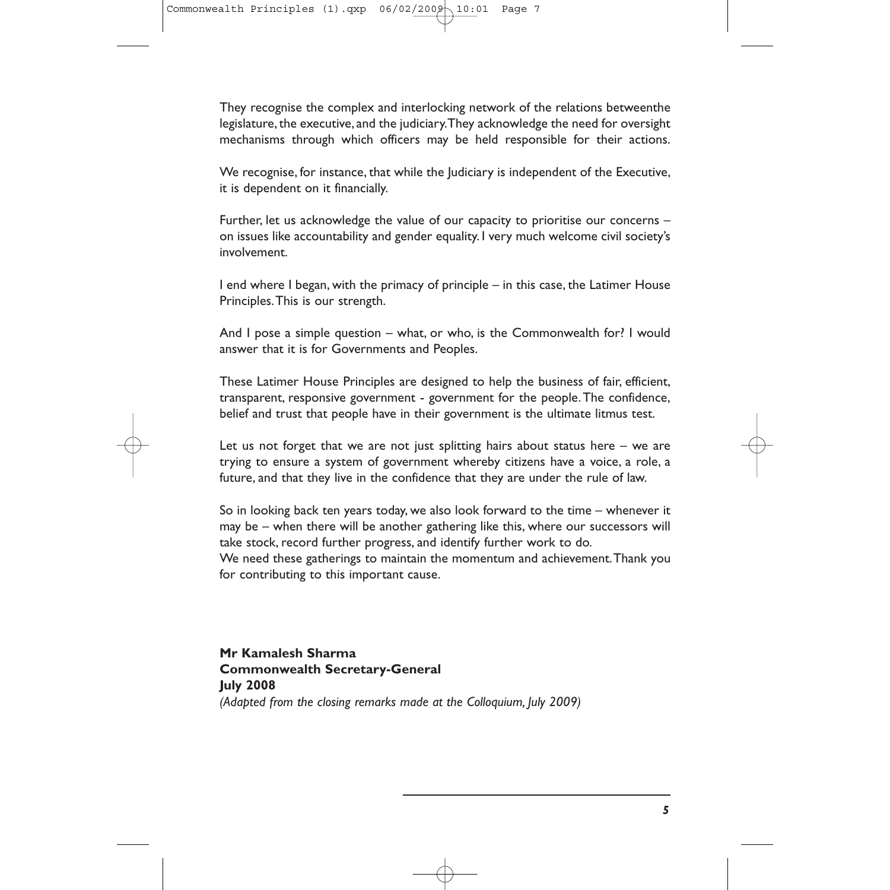They recognise the complex and interlocking network of the relations betweenthe legislature, the executive, and the judiciary.They acknowledge the need for oversight mechanisms through which officers may be held responsible for their actions.

We recognise, for instance, that while the Judiciary is independent of the Executive, it is dependent on it financially.

Further, let us acknowledge the value of our capacity to prioritise our concerns – on issues like accountability and gender equality. I very much welcome civil society's involvement.

I end where I began, with the primacy of principle – in this case, the Latimer House Principles.This is our strength.

And I pose a simple question – what, or who, is the Commonwealth for? I would answer that it is for Governments and Peoples.

These Latimer House Principles are designed to help the business of fair, efficient, transparent, responsive government - government for the people.The confidence, belief and trust that people have in their government is the ultimate litmus test.

Let us not forget that we are not just splitting hairs about status here – we are trying to ensure a system of government whereby citizens have a voice, a role, a future, and that they live in the confidence that they are under the rule of law.

So in looking back ten years today, we also look forward to the time – whenever it may be – when there will be another gathering like this, where our successors will take stock, record further progress, and identify further work to do. We need these gatherings to maintain the momentum and achievement.Thank you for contributing to this important cause.

**Mr Kamalesh Sharma Commonwealth Secretary-General July 2008** *(Adapted from the closing remarks made at the Colloquium, July 2009)*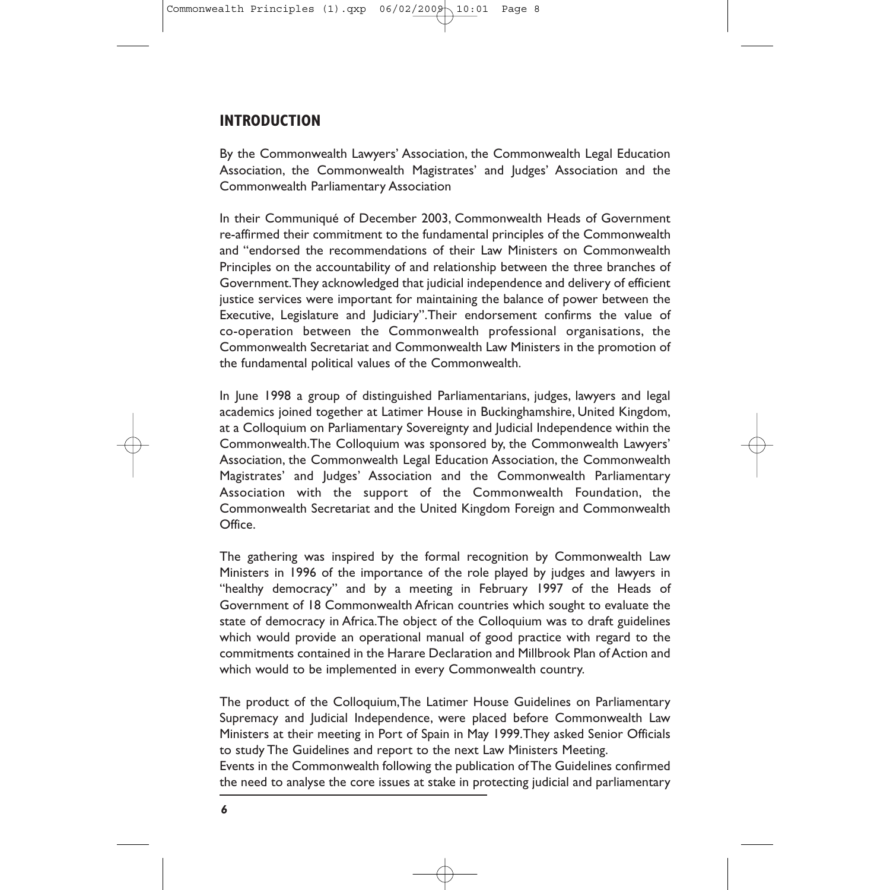# **INTRODUCTION**

By the Commonwealth Lawyers' Association, the Commonwealth Legal Education Association, the Commonwealth Magistrates' and Judges' Association and the Commonwealth Parliamentary Association

In their Communiqué of December 2003, Commonwealth Heads of Government re-affirmed their commitment to the fundamental principles of the Commonwealth and "endorsed the recommendations of their Law Ministers on Commonwealth Principles on the accountability of and relationship between the three branches of Government.They acknowledged that judicial independence and delivery of efficient justice services were important for maintaining the balance of power between the Executive, Legislature and Judiciary".Their endorsement confirms the value of co-operation between the Commonwealth professional organisations, the Commonwealth Secretariat and Commonwealth Law Ministers in the promotion of the fundamental political values of the Commonwealth.

In June 1998 a group of distinguished Parliamentarians, judges, lawyers and legal academics joined together at Latimer House in Buckinghamshire, United Kingdom, at a Colloquium on Parliamentary Sovereignty and Judicial Independence within the Commonwealth.The Colloquium was sponsored by, the Commonwealth Lawyers' Association, the Commonwealth Legal Education Association, the Commonwealth Magistrates' and Judges' Association and the Commonwealth Parliamentary Association with the support of the Commonwealth Foundation, the Commonwealth Secretariat and the United Kingdom Foreign and Commonwealth Office.

The gathering was inspired by the formal recognition by Commonwealth Law Ministers in 1996 of the importance of the role played by judges and lawyers in "healthy democracy" and by a meeting in February 1997 of the Heads of Government of 18 Commonwealth African countries which sought to evaluate the state of democracy in Africa.The object of the Colloquium was to draft guidelines which would provide an operational manual of good practice with regard to the commitments contained in the Harare Declaration and Millbrook Plan of Action and which would to be implemented in every Commonwealth country.

The product of the Colloquium,The Latimer House Guidelines on Parliamentary Supremacy and Judicial Independence, were placed before Commonwealth Law Ministers at their meeting in Port of Spain in May 1999.They asked Senior Officials to study The Guidelines and report to the next Law Ministers Meeting. Events in the Commonwealth following the publication of The Guidelines confirmed the need to analyse the core issues at stake in protecting judicial and parliamentary

*6*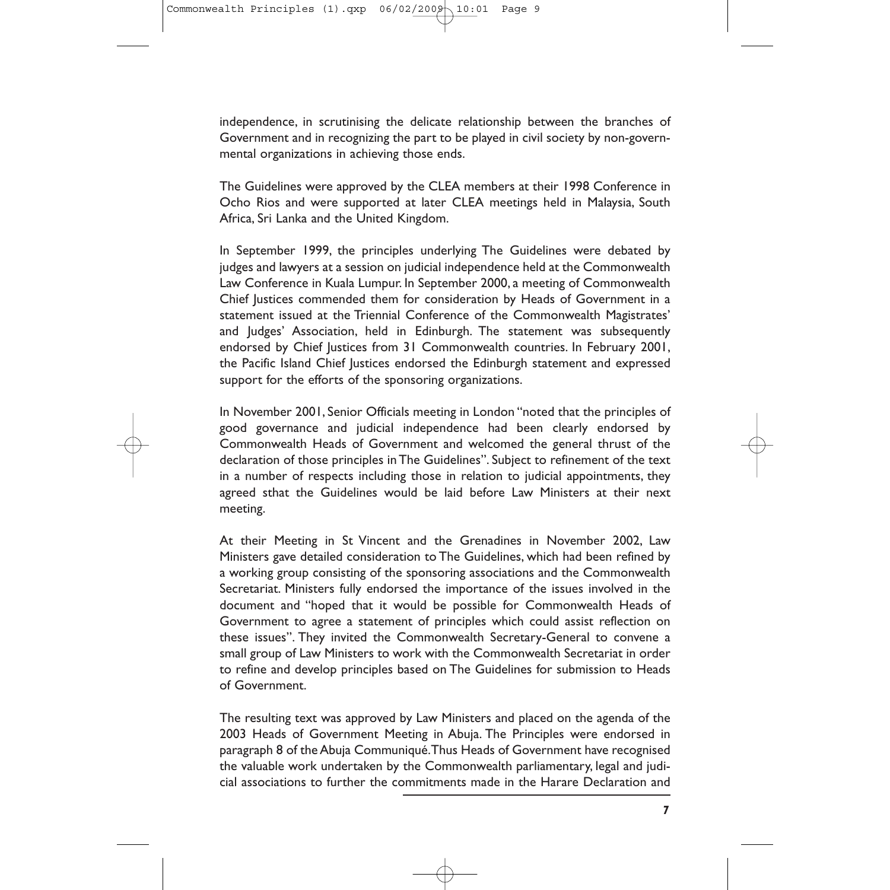independence, in scrutinising the delicate relationship between the branches of Government and in recognizing the part to be played in civil society by non-governmental organizations in achieving those ends.

The Guidelines were approved by the CLEA members at their 1998 Conference in Ocho Rios and were supported at later CLEA meetings held in Malaysia, South Africa, Sri Lanka and the United Kingdom.

In September 1999, the principles underlying The Guidelines were debated by judges and lawyers at a session on judicial independence held at the Commonwealth Law Conference in Kuala Lumpur. In September 2000, a meeting of Commonwealth Chief Justices commended them for consideration by Heads of Government in a statement issued at the Triennial Conference of the Commonwealth Magistrates' and Judges' Association, held in Edinburgh. The statement was subsequently endorsed by Chief Justices from 31 Commonwealth countries. In February 2001, the Pacific Island Chief Justices endorsed the Edinburgh statement and expressed support for the efforts of the sponsoring organizations.

In November 2001, Senior Officials meeting in London "noted that the principles of good governance and judicial independence had been clearly endorsed by Commonwealth Heads of Government and welcomed the general thrust of the declaration of those principles in The Guidelines". Subject to refinement of the text in a number of respects including those in relation to judicial appointments, they agreed sthat the Guidelines would be laid before Law Ministers at their next meeting.

At their Meeting in St Vincent and the Grenadines in November 2002, Law Ministers gave detailed consideration to The Guidelines, which had been refined by a working group consisting of the sponsoring associations and the Commonwealth Secretariat. Ministers fully endorsed the importance of the issues involved in the document and "hoped that it would be possible for Commonwealth Heads of Government to agree a statement of principles which could assist reflection on these issues". They invited the Commonwealth Secretary-General to convene a small group of Law Ministers to work with the Commonwealth Secretariat in order to refine and develop principles based on The Guidelines for submission to Heads of Government.

The resulting text was approved by Law Ministers and placed on the agenda of the 2003 Heads of Government Meeting in Abuja. The Principles were endorsed in paragraph 8 of the Abuja Communiqué.Thus Heads of Government have recognised the valuable work undertaken by the Commonwealth parliamentary, legal and judicial associations to further the commitments made in the Harare Declaration and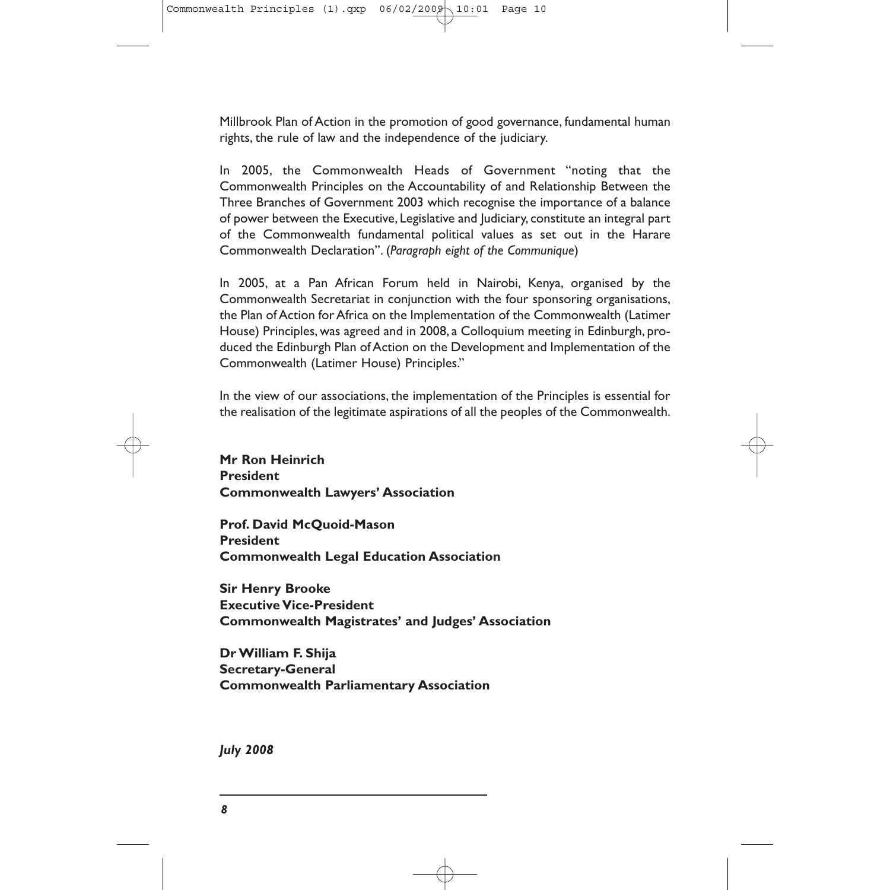Millbrook Plan of Action in the promotion of good governance, fundamental human rights, the rule of law and the independence of the judiciary.

In 2005, the Commonwealth Heads of Government "noting that the Commonwealth Principles on the Accountability of and Relationship Between the Three Branches of Government 2003 which recognise the importance of a balance of power between the Executive, Legislative and Judiciary, constitute an integral part of the Commonwealth fundamental political values as set out in the Harare Commonwealth Declaration". (*Paragraph eight of the Communique*)

In 2005, at a Pan African Forum held in Nairobi, Kenya, organised by the Commonwealth Secretariat in conjunction with the four sponsoring organisations, the Plan of Action for Africa on the Implementation of the Commonwealth (Latimer House) Principles, was agreed and in 2008, a Colloquium meeting in Edinburgh, produced the Edinburgh Plan of Action on the Development and Implementation of the Commonwealth (Latimer House) Principles."

In the view of our associations, the implementation of the Principles is essential for the realisation of the legitimate aspirations of all the peoples of the Commonwealth.

**Mr Ron Heinrich President Commonwealth Lawyers' Association**

**Prof. David McQuoid-Mason President Commonwealth Legal Education Association**

**Sir Henry Brooke Executive Vice-President Commonwealth Magistrates' and Judges' Association**

**Dr William F. Shija Secretary-General Commonwealth Parliamentary Association**

*July 2008*

*8*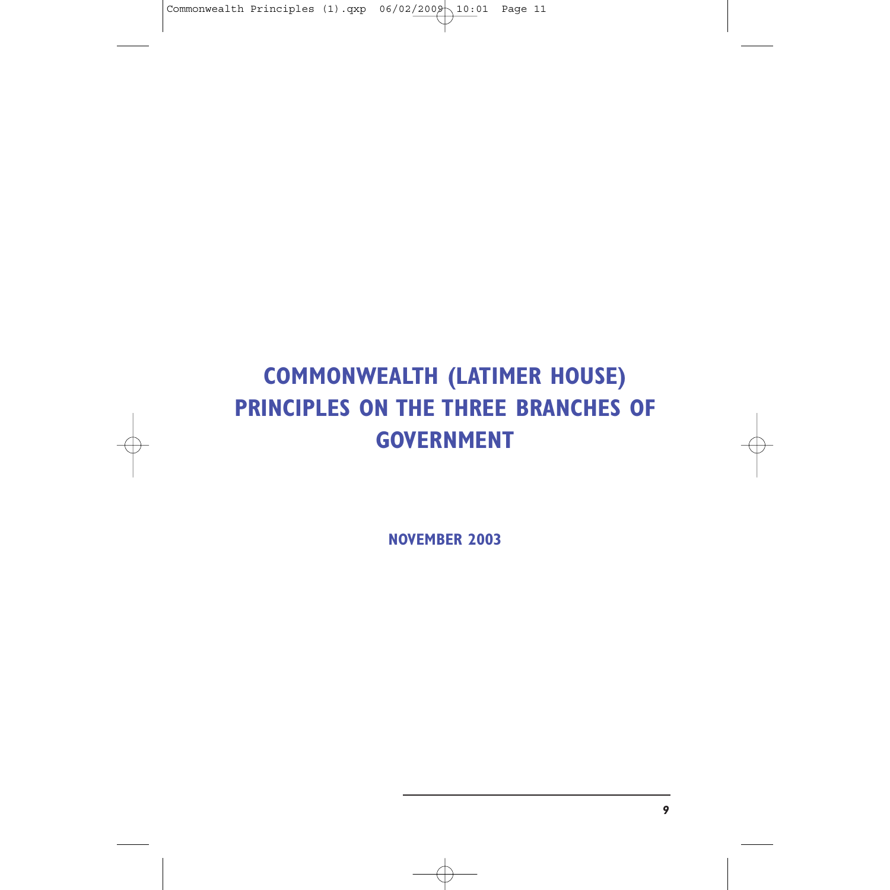# **COMMONWEALTH (LATIMER HOUSE) PRINCIPLES ON THE THREE BRANCHES OF GOVERNMENT**

**NOVEMBER 2003**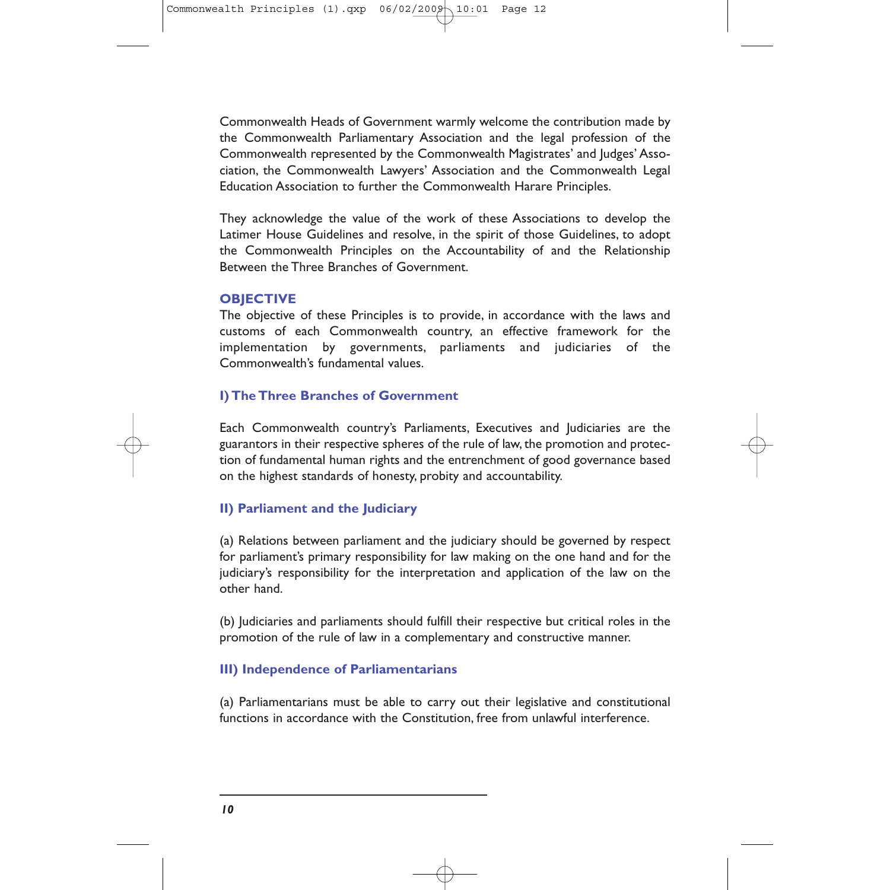Commonwealth Heads of Government warmly welcome the contribution made by the Commonwealth Parliamentary Association and the legal profession of the Commonwealth represented by the Commonwealth Magistrates' and Judges' Association, the Commonwealth Lawyers' Association and the Commonwealth Legal Education Association to further the Commonwealth Harare Principles.

They acknowledge the value of the work of these Associations to develop the Latimer House Guidelines and resolve, in the spirit of those Guidelines, to adopt the Commonwealth Principles on the Accountability of and the Relationship Between the Three Branches of Government.

#### **OBJECTIVE**

The objective of these Principles is to provide, in accordance with the laws and customs of each Commonwealth country, an effective framework for the implementation by governments, parliaments and judiciaries of the Commonwealth's fundamental values.

#### **I) The Three Branches of Government**

Each Commonwealth country's Parliaments, Executives and Judiciaries are the guarantors in their respective spheres of the rule of law, the promotion and protection of fundamental human rights and the entrenchment of good governance based on the highest standards of honesty, probity and accountability.

# **II) Parliament and the Judiciary**

(a) Relations between parliament and the judiciary should be governed by respect for parliament's primary responsibility for law making on the one hand and for the judiciary's responsibility for the interpretation and application of the law on the other hand.

(b) Judiciaries and parliaments should fulfill their respective but critical roles in the promotion of the rule of law in a complementary and constructive manner.

#### **III) Independence of Parliamentarians**

(a) Parliamentarians must be able to carry out their legislative and constitutional functions in accordance with the Constitution, free from unlawful interference.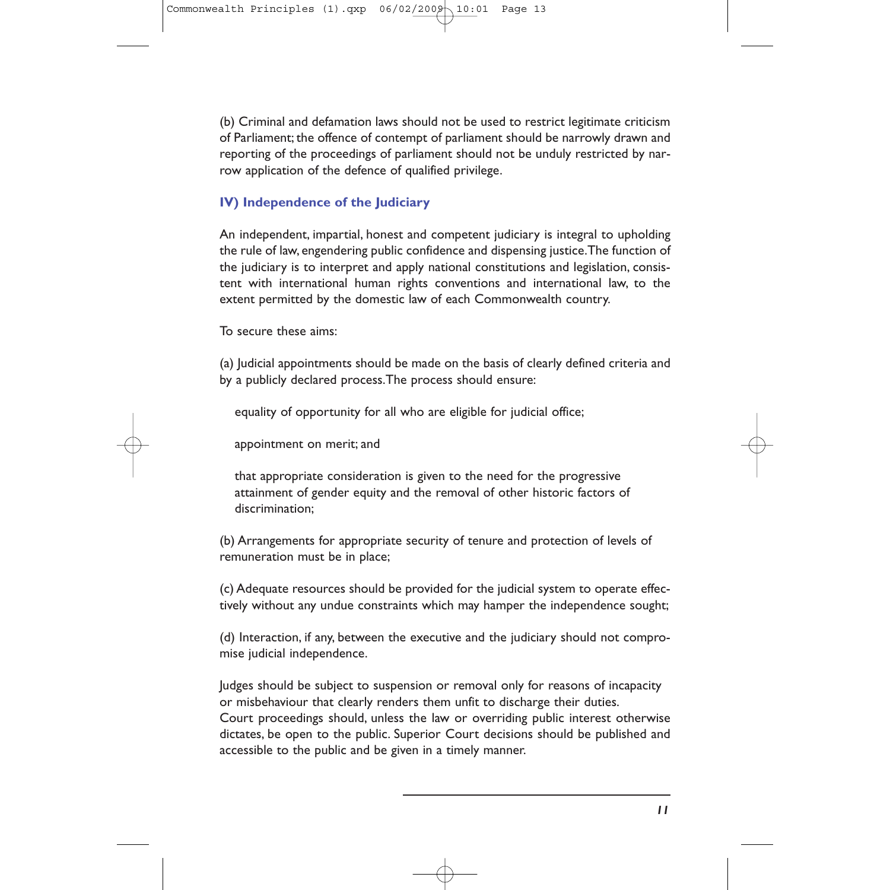(b) Criminal and defamation laws should not be used to restrict legitimate criticism of Parliament; the offence of contempt of parliament should be narrowly drawn and reporting of the proceedings of parliament should not be unduly restricted by narrow application of the defence of qualified privilege.

# **IV) Independence of the Judiciary**

An independent, impartial, honest and competent judiciary is integral to upholding the rule of law, engendering public confidence and dispensing justice.The function of the judiciary is to interpret and apply national constitutions and legislation, consistent with international human rights conventions and international law, to the extent permitted by the domestic law of each Commonwealth country.

To secure these aims:

(a) Judicial appointments should be made on the basis of clearly defined criteria and by a publicly declared process.The process should ensure:

equality of opportunity for all who are eligible for judicial office;

appointment on merit; and

that appropriate consideration is given to the need for the progressive attainment of gender equity and the removal of other historic factors of discrimination;

(b) Arrangements for appropriate security of tenure and protection of levels of remuneration must be in place;

(c) Adequate resources should be provided for the judicial system to operate effectively without any undue constraints which may hamper the independence sought;

(d) Interaction, if any, between the executive and the judiciary should not compromise judicial independence.

Judges should be subject to suspension or removal only for reasons of incapacity or misbehaviour that clearly renders them unfit to discharge their duties. Court proceedings should, unless the law or overriding public interest otherwise dictates, be open to the public. Superior Court decisions should be published and accessible to the public and be given in a timely manner.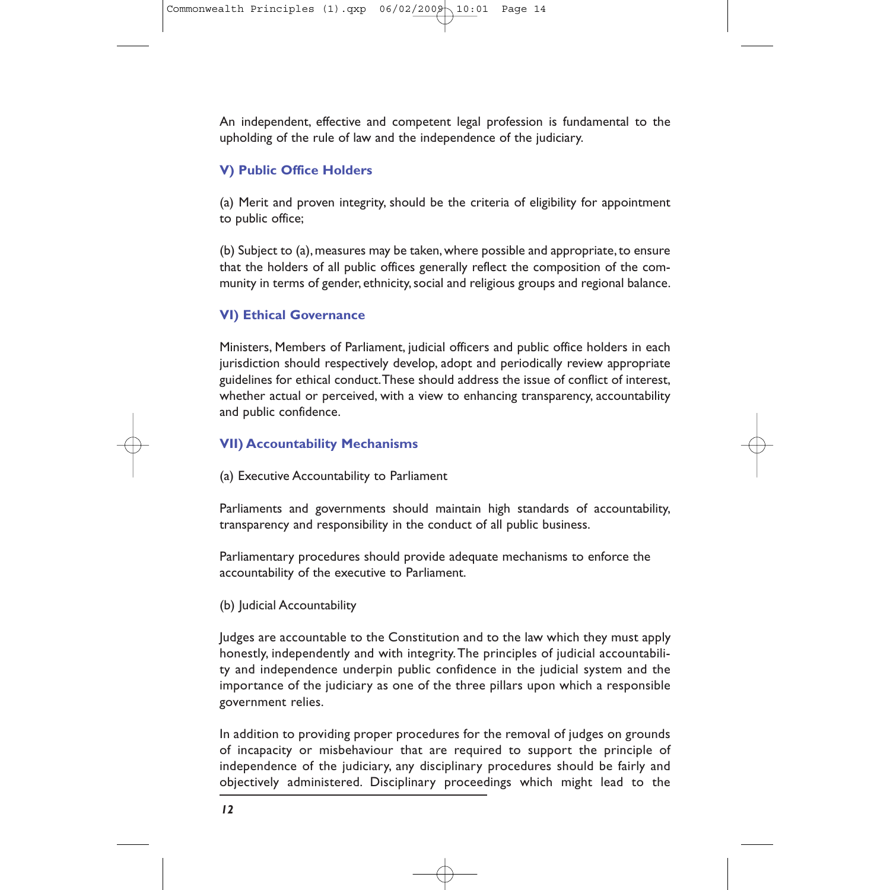An independent, effective and competent legal profession is fundamental to the upholding of the rule of law and the independence of the judiciary.

# **V) Public Office Holders**

(a) Merit and proven integrity, should be the criteria of eligibility for appointment to public office;

(b) Subject to (a), measures may be taken, where possible and appropriate, to ensure that the holders of all public offices generally reflect the composition of the community in terms of gender, ethnicity, social and religious groups and regional balance.

# **VI) Ethical Governance**

Ministers, Members of Parliament, judicial officers and public office holders in each jurisdiction should respectively develop, adopt and periodically review appropriate guidelines for ethical conduct.These should address the issue of conflict of interest, whether actual or perceived, with a view to enhancing transparency, accountability and public confidence.

# **VII) Accountability Mechanisms**

(a) Executive Accountability to Parliament

Parliaments and governments should maintain high standards of accountability, transparency and responsibility in the conduct of all public business.

Parliamentary procedures should provide adequate mechanisms to enforce the accountability of the executive to Parliament.

#### (b) Judicial Accountability

Judges are accountable to the Constitution and to the law which they must apply honestly, independently and with integrity.The principles of judicial accountability and independence underpin public confidence in the judicial system and the importance of the judiciary as one of the three pillars upon which a responsible government relies.

In addition to providing proper procedures for the removal of judges on grounds of incapacity or misbehaviour that are required to support the principle of independence of the judiciary, any disciplinary procedures should be fairly and objectively administered. Disciplinary proceedings which might lead to the

*12*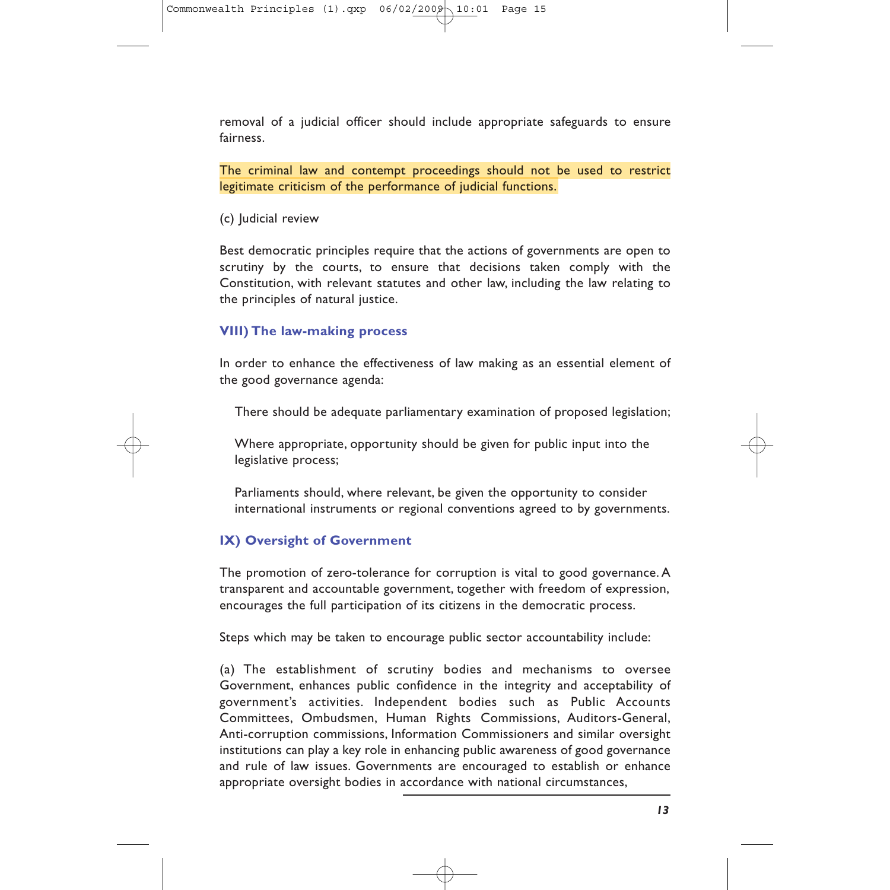removal of a judicial officer should include appropriate safeguards to ensure fairness.

The criminal law and contempt proceedings should not be used to restrict legitimate criticism of the performance of judicial functions.

#### (c) Judicial review

Best democratic principles require that the actions of governments are open to scrutiny by the courts, to ensure that decisions taken comply with the Constitution, with relevant statutes and other law, including the law relating to the principles of natural justice.

#### **VIII) The law-making process**

In order to enhance the effectiveness of law making as an essential element of the good governance agenda:

There should be adequate parliamentary examination of proposed legislation;

Where appropriate, opportunity should be given for public input into the legislative process;

Parliaments should, where relevant, be given the opportunity to consider international instruments or regional conventions agreed to by governments.

# **IX) Oversight of Government**

The promotion of zero-tolerance for corruption is vital to good governance. A transparent and accountable government, together with freedom of expression, encourages the full participation of its citizens in the democratic process.

Steps which may be taken to encourage public sector accountability include:

(a) The establishment of scrutiny bodies and mechanisms to oversee Government, enhances public confidence in the integrity and acceptability of government's activities. Independent bodies such as Public Accounts Committees, Ombudsmen, Human Rights Commissions, Auditors-General, Anti-corruption commissions, Information Commissioners and similar oversight institutions can play a key role in enhancing public awareness of good governance and rule of law issues. Governments are encouraged to establish or enhance appropriate oversight bodies in accordance with national circumstances,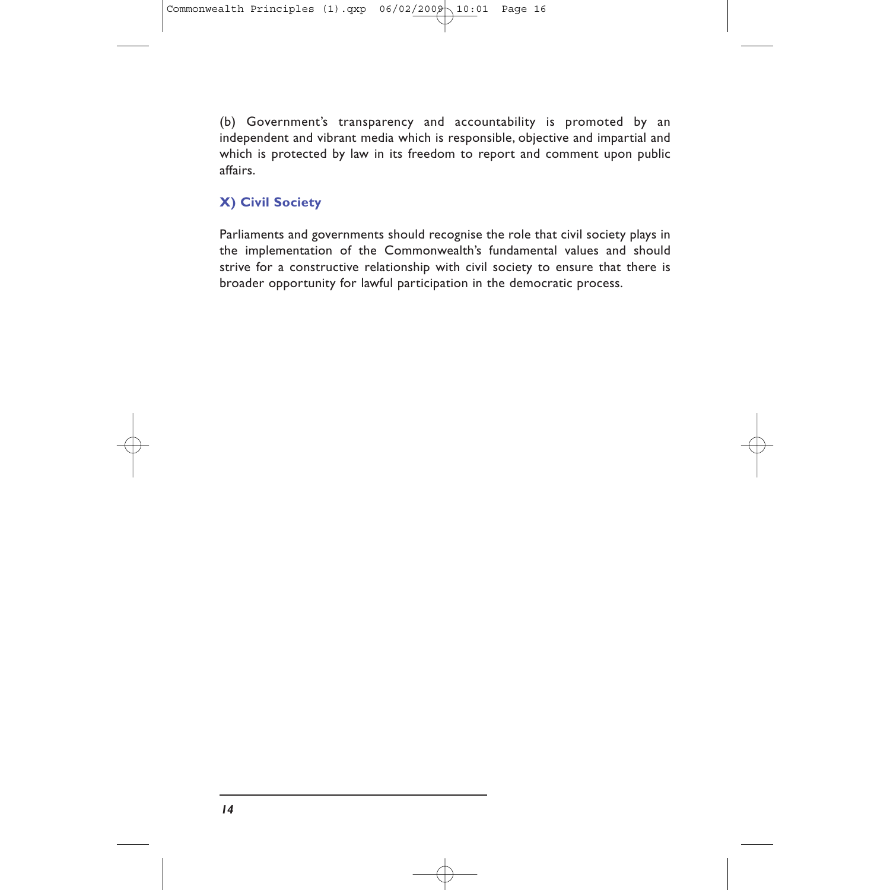(b) Government's transparency and accountability is promoted by an independent and vibrant media which is responsible, objective and impartial and which is protected by law in its freedom to report and comment upon public affairs.

# **X) Civil Society**

Parliaments and governments should recognise the role that civil society plays in the implementation of the Commonwealth's fundamental values and should strive for a constructive relationship with civil society to ensure that there is broader opportunity for lawful participation in the democratic process.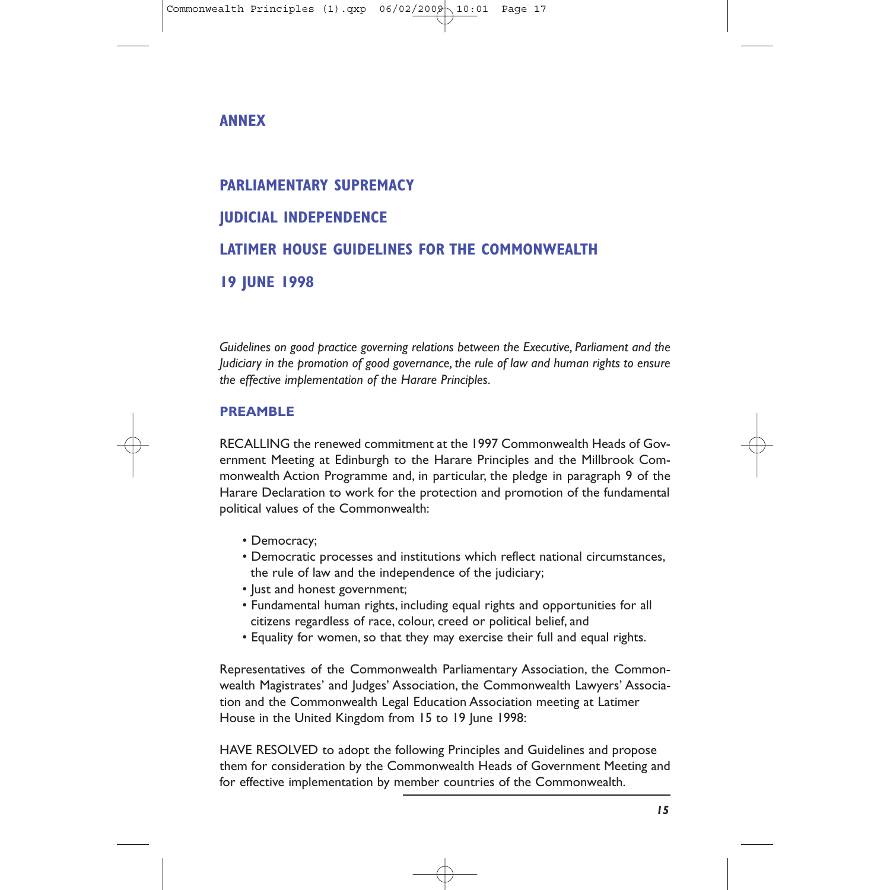# **ANNEX**

# **PARLIAMENTARY SUPREMACY JUDICIAL INDEPENDENCE LATIMER HOUSE GUIDELINES FOR THE COMMONWEALTH 19 JUNE 1998**

*Guidelines on good practice governing relations between the Executive, Parliament and the Judiciary in the promotion of good governance, the rule of law and human rights to ensure the effective implementation of the Harare Principles.*

# **PREAMBLE**

RECALLING the renewed commitment at the 1997 Commonwealth Heads of Government Meeting at Edinburgh to the Harare Principles and the Millbrook Commonwealth Action Programme and, in particular, the pledge in paragraph 9 of the Harare Declaration to work for the protection and promotion of the fundamental political values of the Commonwealth:

- Democracy;
- Democratic processes and institutions which reflect national circumstances, the rule of law and the independence of the judiciary;
- lust and honest government;
- Fundamental human rights, including equal rights and opportunities for all citizens regardless of race, colour, creed or political belief, and
- Equality for women, so that they may exercise their full and equal rights.

Representatives of the Commonwealth Parliamentary Association, the Commonwealth Magistrates' and Judges' Association, the Commonwealth Lawyers' Association and the Commonwealth Legal Education Association meeting at Latimer House in the United Kingdom from 15 to 19 June 1998:

HAVE RESOLVED to adopt the following Principles and Guidelines and propose them for consideration by the Commonwealth Heads of Government Meeting and for effective implementation by member countries of the Commonwealth.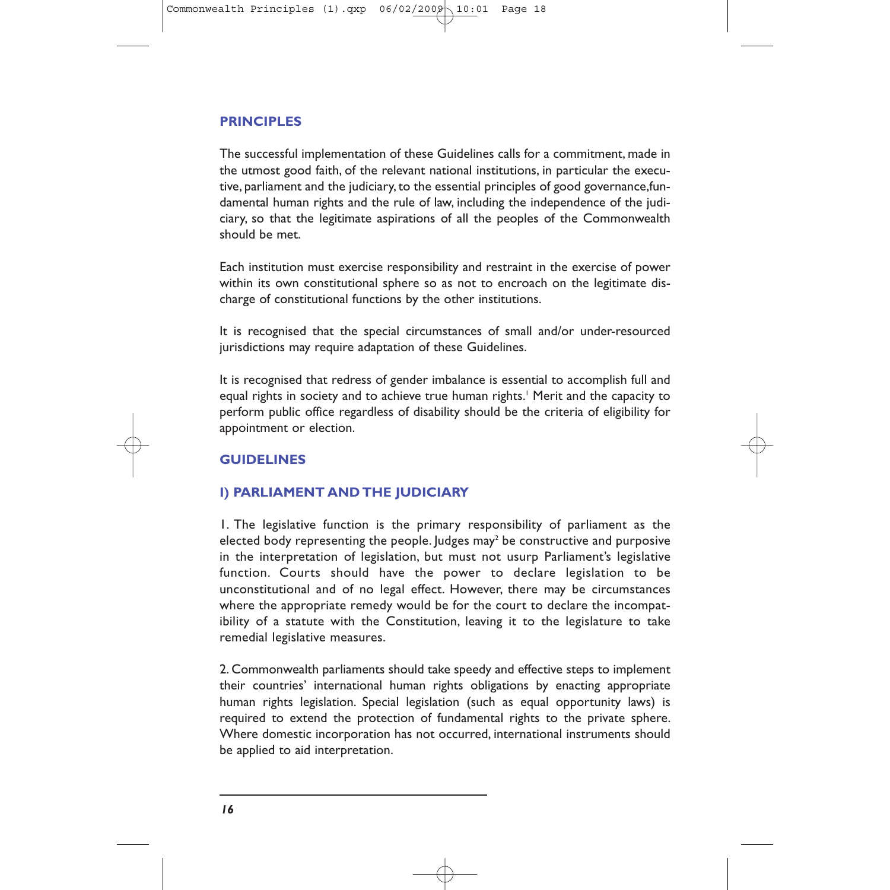# **PRINCIPLES**

The successful implementation of these Guidelines calls for a commitment, made in the utmost good faith, of the relevant national institutions, in particular the executive, parliament and the judiciary, to the essential principles of good governance,fundamental human rights and the rule of law, including the independence of the judiciary, so that the legitimate aspirations of all the peoples of the Commonwealth should be met.

Each institution must exercise responsibility and restraint in the exercise of power within its own constitutional sphere so as not to encroach on the legitimate discharge of constitutional functions by the other institutions.

It is recognised that the special circumstances of small and/or under-resourced jurisdictions may require adaptation of these Guidelines.

It is recognised that redress of gender imbalance is essential to accomplish full and equal rights in society and to achieve true human rights.<sup>1</sup> Merit and the capacity to perform public office regardless of disability should be the criteria of eligibility for appointment or election.

# **GUIDELINES**

# **I) PARLIAMENT AND THE JUDICIARY**

1. The legislative function is the primary responsibility of parliament as the elected body representing the people. Judges may<sup>2</sup> be constructive and purposive in the interpretation of legislation, but must not usurp Parliament's legislative function. Courts should have the power to declare legislation to be unconstitutional and of no legal effect. However, there may be circumstances where the appropriate remedy would be for the court to declare the incompatibility of a statute with the Constitution, leaving it to the legislature to take remedial legislative measures.

2. Commonwealth parliaments should take speedy and effective steps to implement their countries' international human rights obligations by enacting appropriate human rights legislation. Special legislation (such as equal opportunity laws) is required to extend the protection of fundamental rights to the private sphere. Where domestic incorporation has not occurred, international instruments should be applied to aid interpretation.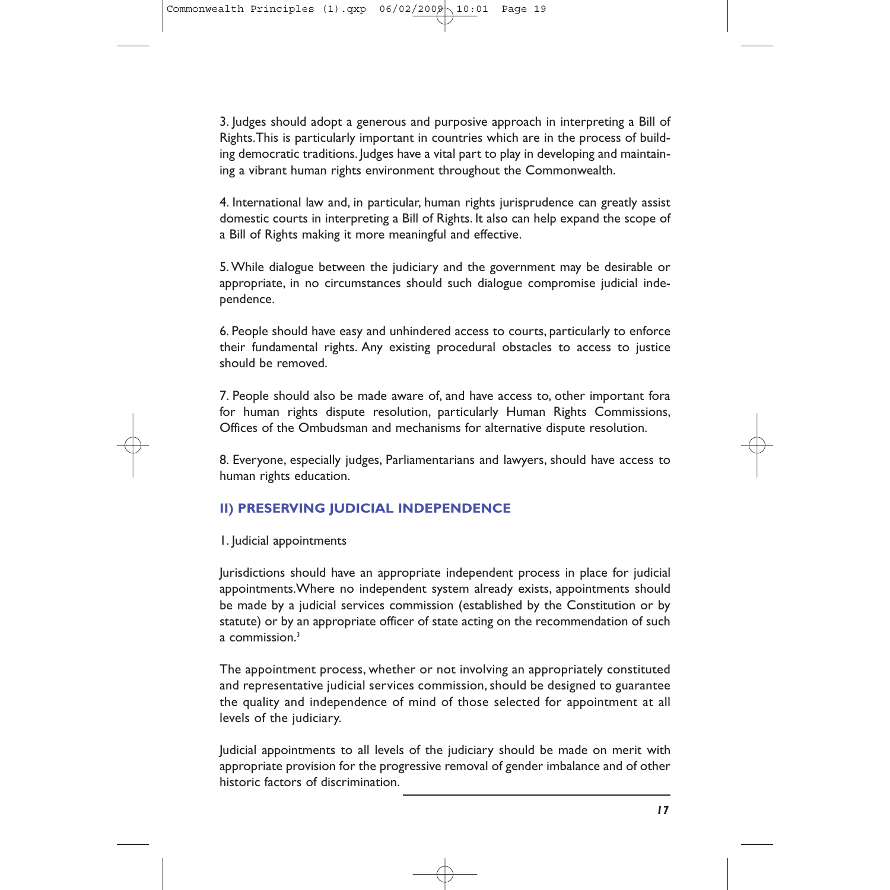3. Judges should adopt a generous and purposive approach in interpreting a Bill of Rights.This is particularly important in countries which are in the process of building democratic traditions. Judges have a vital part to play in developing and maintaining a vibrant human rights environment throughout the Commonwealth.

4. International law and, in particular, human rights jurisprudence can greatly assist domestic courts in interpreting a Bill of Rights. It also can help expand the scope of a Bill of Rights making it more meaningful and effective.

5. While dialogue between the judiciary and the government may be desirable or appropriate, in no circumstances should such dialogue compromise judicial independence.

6. People should have easy and unhindered access to courts, particularly to enforce their fundamental rights. Any existing procedural obstacles to access to justice should be removed.

7. People should also be made aware of, and have access to, other important fora for human rights dispute resolution, particularly Human Rights Commissions, Offices of the Ombudsman and mechanisms for alternative dispute resolution.

8. Everyone, especially judges, Parliamentarians and lawyers, should have access to human rights education.

# **II) PRESERVING JUDICIAL INDEPENDENCE**

### 1. Judicial appointments

Jurisdictions should have an appropriate independent process in place for judicial appointments.Where no independent system already exists, appointments should be made by a judicial services commission (established by the Constitution or by statute) or by an appropriate officer of state acting on the recommendation of such a commission.<sup>3</sup>

The appointment process, whether or not involving an appropriately constituted and representative judicial services commission, should be designed to guarantee the quality and independence of mind of those selected for appointment at all levels of the judiciary.

Judicial appointments to all levels of the judiciary should be made on merit with appropriate provision for the progressive removal of gender imbalance and of other historic factors of discrimination.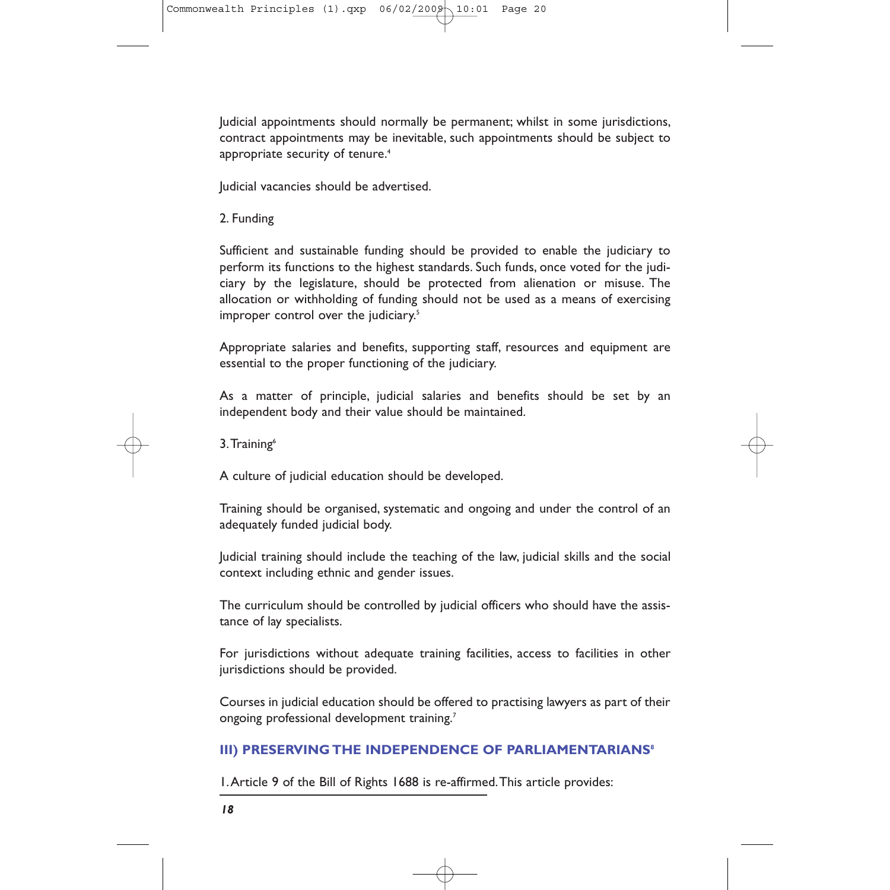Judicial appointments should normally be permanent; whilst in some jurisdictions, contract appointments may be inevitable, such appointments should be subject to appropriate security of tenure.<sup>4</sup>

Judicial vacancies should be advertised.

2. Funding

Sufficient and sustainable funding should be provided to enable the judiciary to perform its functions to the highest standards. Such funds, once voted for the judiciary by the legislature, should be protected from alienation or misuse. The allocation or withholding of funding should not be used as a means of exercising improper control over the judiciary.<sup>5</sup>

Appropriate salaries and benefits, supporting staff, resources and equipment are essential to the proper functioning of the judiciary.

As a matter of principle, judicial salaries and benefits should be set by an independent body and their value should be maintained.

3.Training6

A culture of judicial education should be developed.

Training should be organised, systematic and ongoing and under the control of an adequately funded judicial body.

Judicial training should include the teaching of the law, judicial skills and the social context including ethnic and gender issues.

The curriculum should be controlled by judicial officers who should have the assistance of lay specialists.

For jurisdictions without adequate training facilities, access to facilities in other jurisdictions should be provided.

Courses in judicial education should be offered to practising lawyers as part of their ongoing professional development training.<sup>7</sup>

# **III) PRESERVING THE INDEPENDENCE OF PARLIAMENTARIANS<sup>8</sup>**

1.Article 9 of the Bill of Rights 1688 is re-affirmed.This article provides:

*18*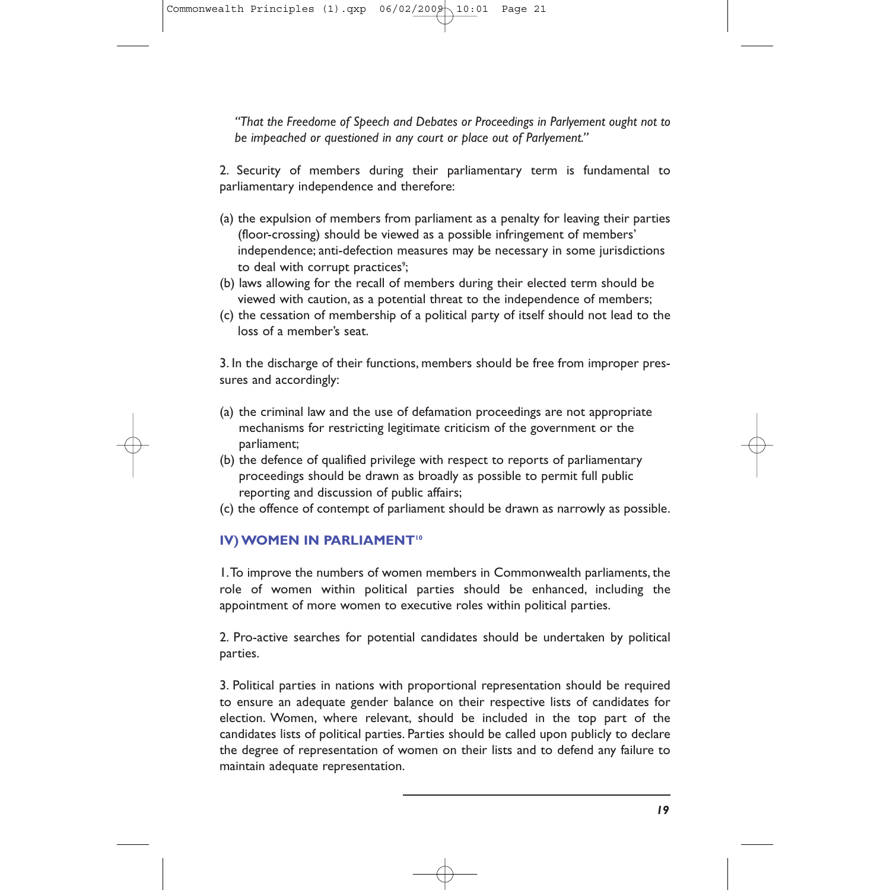*"That the Freedome of Speech and Debates or Proceedings in Parlyement ought not to be impeached or questioned in any court or place out of Parlyement."*

2. Security of members during their parliamentary term is fundamental to parliamentary independence and therefore:

- (a) the expulsion of members from parliament as a penalty for leaving their parties (floor-crossing) should be viewed as a possible infringement of members' independence; anti-defection measures may be necessary in some jurisdictions to deal with corrupt practices<sup>9</sup>;
- (b) laws allowing for the recall of members during their elected term should be viewed with caution, as a potential threat to the independence of members;
- (c) the cessation of membership of a political party of itself should not lead to the loss of a member's seat.

3. In the discharge of their functions, members should be free from improper pressures and accordingly:

- (a) the criminal law and the use of defamation proceedings are not appropriate mechanisms for restricting legitimate criticism of the government or the parliament;
- (b) the defence of qualified privilege with respect to reports of parliamentary proceedings should be drawn as broadly as possible to permit full public reporting and discussion of public affairs;
- (c) the offence of contempt of parliament should be drawn as narrowly as possible.

# **IV) WOMEN IN PARLIAMENT<sup>10</sup>**

1.To improve the numbers of women members in Commonwealth parliaments, the role of women within political parties should be enhanced, including the appointment of more women to executive roles within political parties.

2. Pro-active searches for potential candidates should be undertaken by political parties.

3. Political parties in nations with proportional representation should be required to ensure an adequate gender balance on their respective lists of candidates for election. Women, where relevant, should be included in the top part of the candidates lists of political parties. Parties should be called upon publicly to declare the degree of representation of women on their lists and to defend any failure to maintain adequate representation.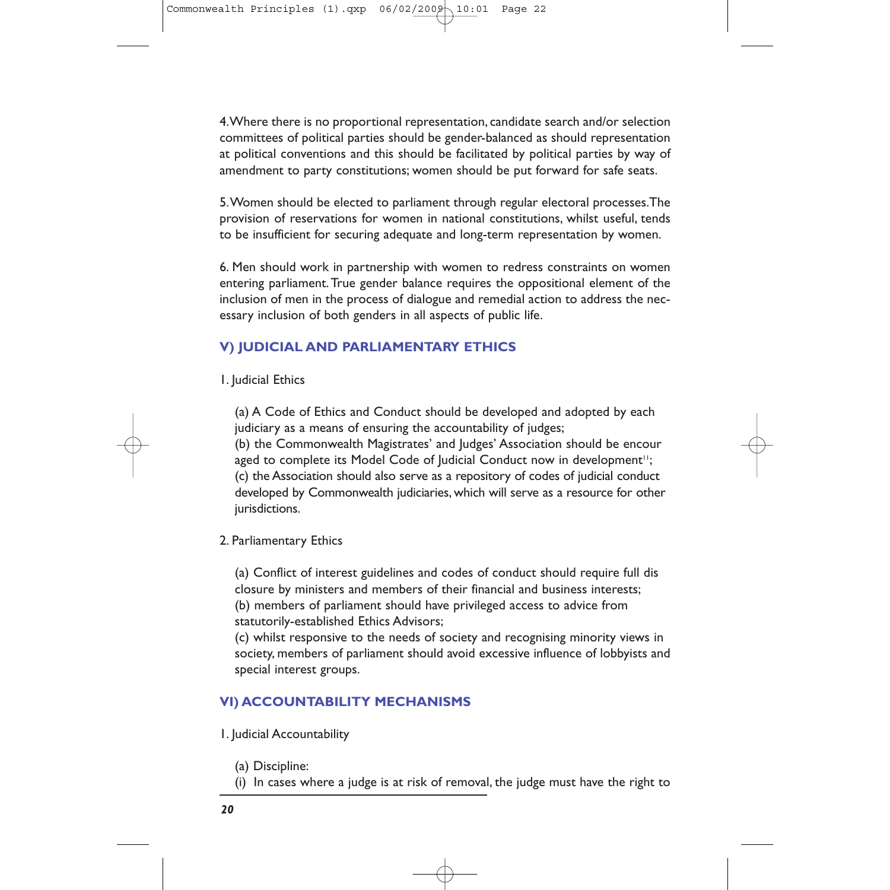4.Where there is no proportional representation, candidate search and/or selection committees of political parties should be gender-balanced as should representation at political conventions and this should be facilitated by political parties by way of amendment to party constitutions; women should be put forward for safe seats.

5.Women should be elected to parliament through regular electoral processes.The provision of reservations for women in national constitutions, whilst useful, tends to be insufficient for securing adequate and long-term representation by women.

6. Men should work in partnership with women to redress constraints on women entering parliament.True gender balance requires the oppositional element of the inclusion of men in the process of dialogue and remedial action to address the necessary inclusion of both genders in all aspects of public life.

# **V) JUDICIAL AND PARLIAMENTARY ETHICS**

#### 1. Judicial Ethics

(a) A Code of Ethics and Conduct should be developed and adopted by each judiciary as a means of ensuring the accountability of judges; (b) the Commonwealth Magistrates' and Judges' Association should be encour aged to complete its Model Code of Judicial Conduct now in development<sup>11</sup>; (c) the Association should also serve as a repository of codes of judicial conduct developed by Commonwealth judiciaries, which will serve as a resource for other jurisdictions.

#### 2. Parliamentary Ethics

(a) Conflict of interest guidelines and codes of conduct should require full dis closure by ministers and members of their financial and business interests; (b) members of parliament should have privileged access to advice from statutorily-established Ethics Advisors;

(c) whilst responsive to the needs of society and recognising minority views in society, members of parliament should avoid excessive influence of lobbyists and special interest groups.

# **VI) ACCOUNTABILITY MECHANISMS**

# 1. Judicial Accountability

- (a) Discipline:
- (i) In cases where a judge is at risk of removal, the judge must have the right to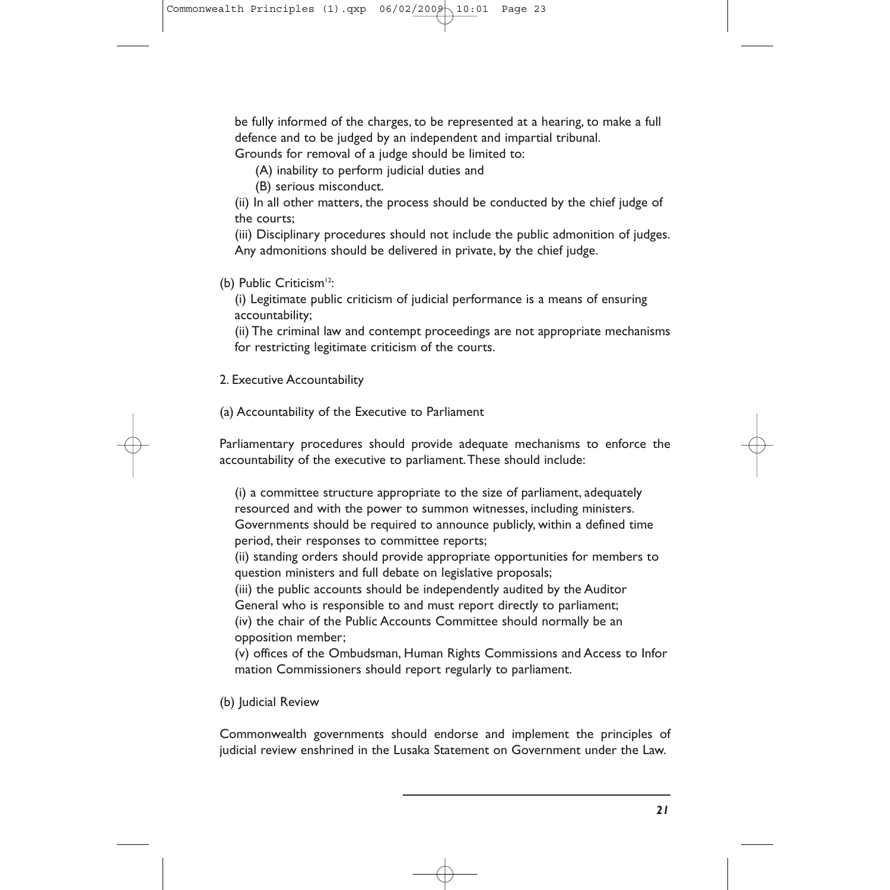be fully informed of the charges, to be represented at a hearing, to make a full defence and to be judged by an independent and impartial tribunal. Grounds for removal of a judge should be limited to:

(A) inability to perform judicial duties and

(B) serious misconduct.

(ii) In all other matters, the process should be conducted by the chief judge of the courts;

(iii) Disciplinary procedures should not include the public admonition of judges. Any admonitions should be delivered in private, by the chief judge.

(b) Public Criticism<sup>12</sup>:

(i) Legitimate public criticism of judicial performance is a means of ensuring accountability;

(ii) The criminal law and contempt proceedings are not appropriate mechanisms for restricting legitimate criticism of the courts.

2. Executive Accountability

(a) Accountability of the Executive to Parliament

Parliamentary procedures should provide adequate mechanisms to enforce the accountability of the executive to parliament.These should include:

(i) a committee structure appropriate to the size of parliament, adequately resourced and with the power to summon witnesses, including ministers. Governments should be required to announce publicly, within a defined time period, their responses to committee reports;

(ii) standing orders should provide appropriate opportunities for members to question ministers and full debate on legislative proposals;

(iii) the public accounts should be independently audited by the Auditor General who is responsible to and must report directly to parliament; (iv) the chair of the Public Accounts Committee should normally be an

opposition member;

(v) offices of the Ombudsman, Human Rights Commissions and Access to Infor mation Commissioners should report regularly to parliament.

(b) Judicial Review

Commonwealth governments should endorse and implement the principles of judicial review enshrined in the Lusaka Statement on Government under the Law.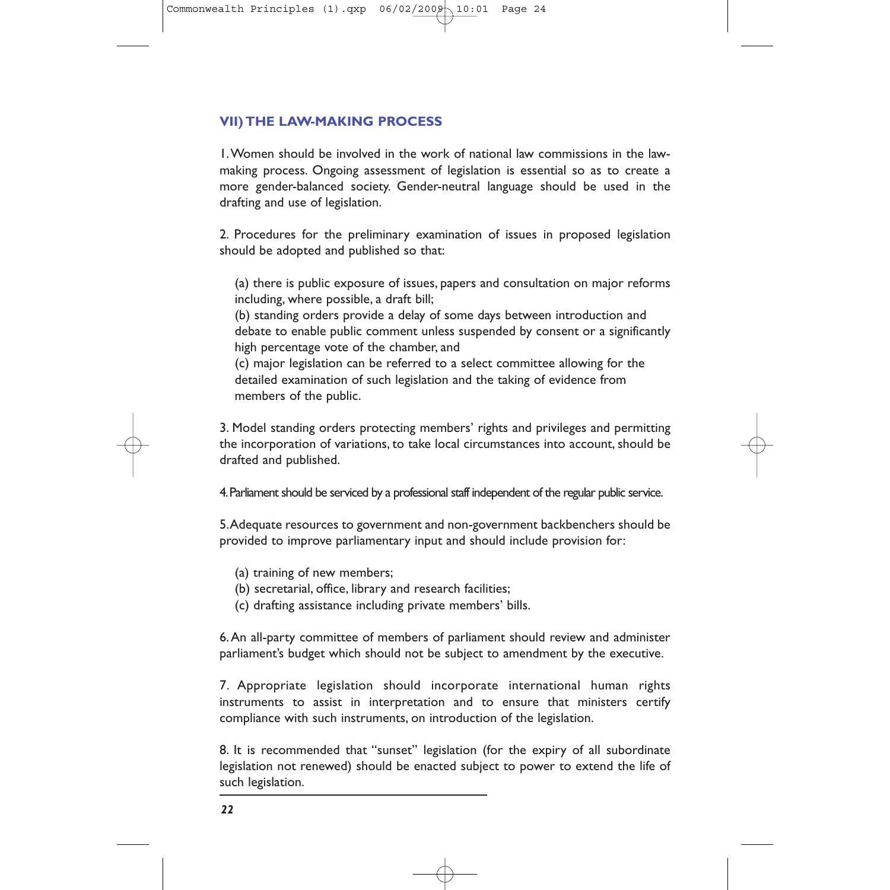# **VII) THE LAW-MAKING PROCESS**

1.Women should be involved in the work of national law commissions in the lawmaking process. Ongoing assessment of legislation is essential so as to create a more gender-balanced society. Gender-neutral language should be used in the drafting and use of legislation.

2. Procedures for the preliminary examination of issues in proposed legislation should be adopted and published so that:

(a) there is public exposure of issues, papers and consultation on major reforms including, where possible, a draft bill;

(b) standing orders provide a delay of some days between introduction and debate to enable public comment unless suspended by consent or a significantly high percentage vote of the chamber, and

(c) major legislation can be referred to a select committee allowing for the detailed examination of such legislation and the taking of evidence from members of the public.

3. Model standing orders protecting members' rights and privileges and permitting the incorporation of variations, to take local circumstances into account, should be drafted and published.

4.Parliament should be serviced by a professional staff independent of the regular public service.

5.Adequate resources to government and non-government backbenchers should be provided to improve parliamentary input and should include provision for:

- (a) training of new members;
- (b) secretarial, office, library and research facilities;
- (c) drafting assistance including private members' bills.

6.An all-party committee of members of parliament should review and administer parliament's budget which should not be subject to amendment by the executive.

7. Appropriate legislation should incorporate international human rights instruments to assist in interpretation and to ensure that ministers certify compliance with such instruments, on introduction of the legislation.

8. It is recommended that "sunset" legislation (for the expiry of all subordinate legislation not renewed) should be enacted subject to power to extend the life of such legislation.

*22*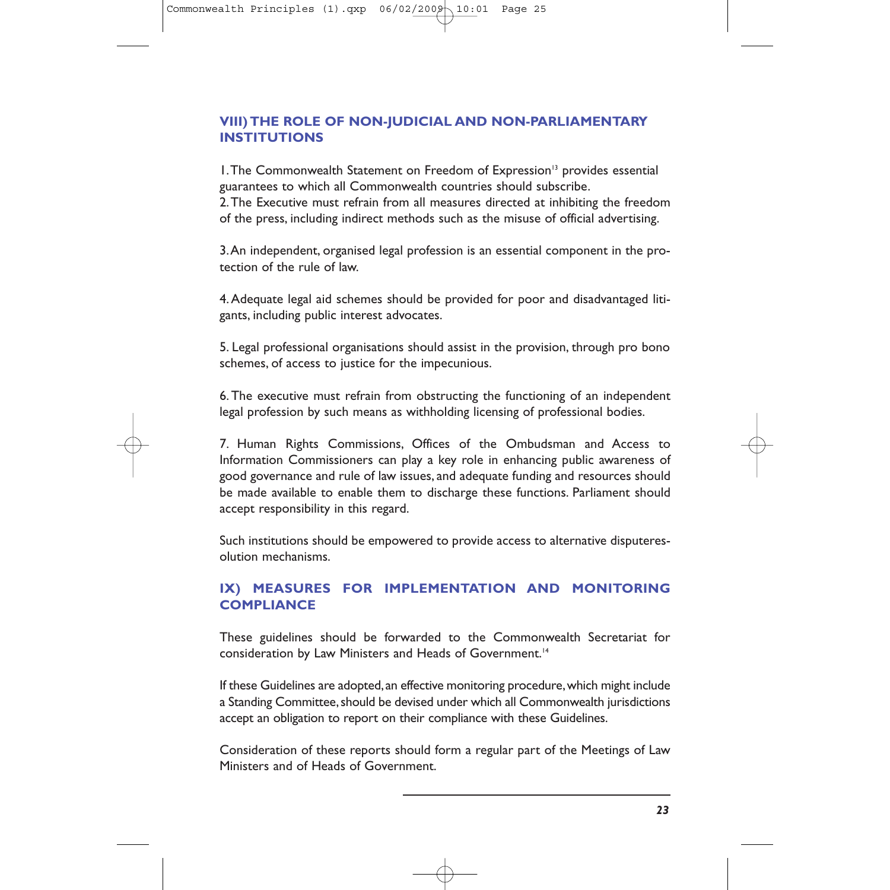# **VIII) THE ROLE OF NON-JUDICIAL AND NON-PARLIAMENTARY INSTITUTIONS**

1. The Commonwealth Statement on Freedom of Expression<sup>13</sup> provides essential guarantees to which all Commonwealth countries should subscribe. 2.The Executive must refrain from all measures directed at inhibiting the freedom of the press, including indirect methods such as the misuse of official advertising.

3.An independent, organised legal profession is an essential component in the protection of the rule of law.

4. Adequate legal aid schemes should be provided for poor and disadvantaged litigants, including public interest advocates.

5. Legal professional organisations should assist in the provision, through pro bono schemes, of access to justice for the impecunious.

6. The executive must refrain from obstructing the functioning of an independent legal profession by such means as withholding licensing of professional bodies.

7. Human Rights Commissions, Offices of the Ombudsman and Access to Information Commissioners can play a key role in enhancing public awareness of good governance and rule of law issues, and adequate funding and resources should be made available to enable them to discharge these functions. Parliament should accept responsibility in this regard.

Such institutions should be empowered to provide access to alternative disputeresolution mechanisms.

# **IX) MEASURES FOR IMPLEMENTATION AND MONITORING COMPLIANCE**

These guidelines should be forwarded to the Commonwealth Secretariat for consideration by Law Ministers and Heads of Government.<sup>14</sup>

If these Guidelines are adopted, an effective monitoring procedure, which might include a Standing Committee, should be devised under which all Commonwealth jurisdictions accept an obligation to report on their compliance with these Guidelines.

Consideration of these reports should form a regular part of the Meetings of Law Ministers and of Heads of Government.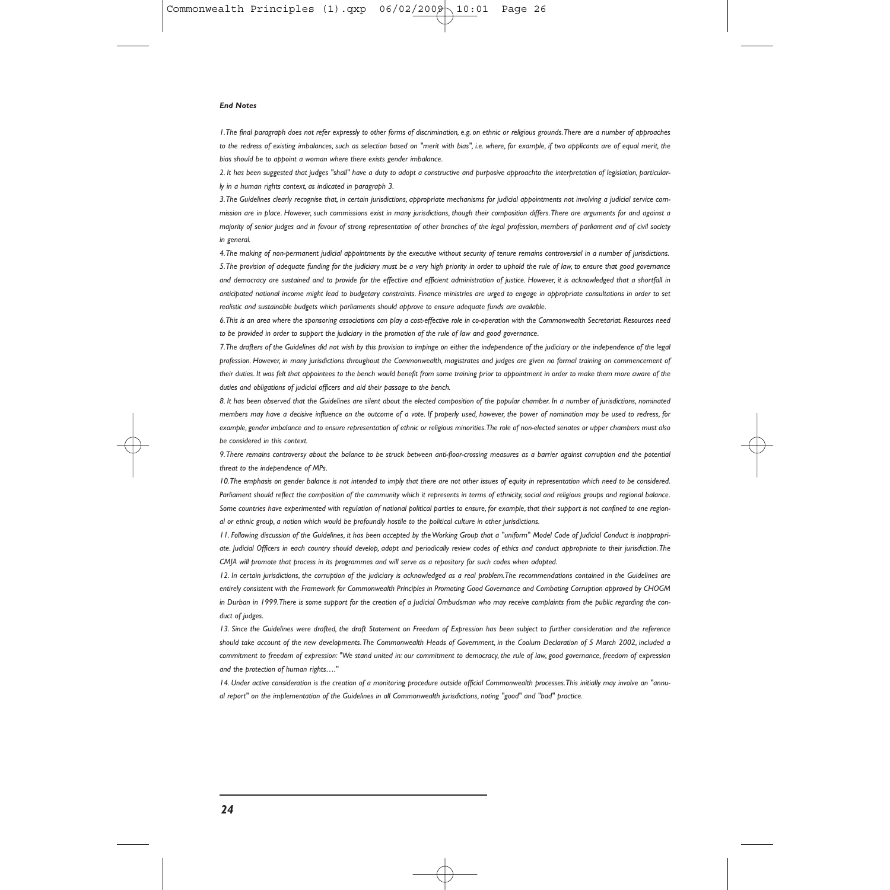#### *End Notes*

*1.The final paragraph does not refer expressly to other forms of discrimination, e.g. on ethnic or religious grounds.There are a number of approaches to the redress of existing imbalances, such as selection based on "merit with bias", i.e. where, for example, if two applicants are of equal merit, the bias should be to appoint a woman where there exists gender imbalance.*

*2. It has been suggested that judges "shall" have a duty to adopt a constructive and purposive approachto the interpretation of legislation, particularly in a human rights context, as indicated in paragraph 3.*

*3.The Guidelines clearly recognise that, in certain jurisdictions, appropriate mechanisms for judicial appointments not involving a judicial service commission are in place. However, such commissions exist in many jurisdictions, though their composition differs.There are arguments for and against a majority of senior judges and in favour of strong representation of other branches of the legal profession, members of parliament and of civil society in general.*

*4.The making of non-permanent judicial appointments by the executive without security of tenure remains controversial in a number of jurisdictions. 5.The provision of adequate funding for the judiciary must be a very high priority in order to uphold the rule of law, to ensure that good governance and democracy are sustained and to provide for the effective and efficient administration of justice. However, it is acknowledged that a shortfall in anticipated national income might lead to budgetary constraints. Finance ministries are urged to engage in appropriate consultations in order to set realistic and sustainable budgets which parliaments should approve to ensure adequate funds are available.*

*6.This is an area where the sponsoring associations can play a cost-effective role in co-operation with the Commonwealth Secretariat. Resources need to be provided in order to support the judiciary in the promotion of the rule of law and good governance.*

*7.The drafters of the Guidelines did not wish by this provision to impinge on either the independence of the judiciary or the independence of the legal profession. However, in many jurisdictions throughout the Commonwealth, magistrates and judges are given no formal training on commencement of their duties. It was felt that appointees to the bench would benefit from some training prior to appointment in order to make them more aware of the duties and obligations of judicial officers and aid their passage to the bench.*

*8. It has been observed that the Guidelines are silent about the elected composition of the popular chamber. In a number of jurisdictions, nominated members may have a decisive influence on the outcome of a vote. If properly used, however, the power of nomination may be used to redress, for example, gender imbalance and to ensure representation of ethnic or religious minorities.The role of non-elected senates or upper chambers must also be considered in this context.*

*9.There remains controversy about the balance to be struck between anti-floor-crossing measures as a barrier against corruption and the potential threat to the independence of MPs.*

*10.The emphasis on gender balance is not intended to imply that there are not other issues of equity in representation which need to be considered. Parliament should reflect the composition of the community which it represents in terms of ethnicity, social and religious groups and regional balance. Some countries have experimented with regulation of national political parties to ensure, for example, that their support is not confined to one regional or ethnic group, a notion which would be profoundly hostile to the political culture in other jurisdictions.*

*11. Following discussion of the Guidelines, it has been accepted by the Working Group that a "uniform" Model Code of Judicial Conduct is inappropriate. Judicial Officers in each country should develop, adopt and periodically review codes of ethics and conduct appropriate to their jurisdiction.The CMJA will promote that process in its programmes and will serve as a repository for such codes when adopted.*

*12. In certain jurisdictions, the corruption of the judiciary is acknowledged as a real problem.The recommendations contained in the Guidelines are entirely consistent with the Framework for Commonwealth Principles in Promoting Good Governance and Combating Corruption approved by CHOGM in Durban in 1999.There is some support for the creation of a Judicial Ombudsman who may receive complaints from the public regarding the conduct of judges.*

*13. Since the Guidelines were drafted, the draft Statement on Freedom of Expression has been subject to further consideration and the reference should take account of the new developments.The Commonwealth Heads of Government, in the Coolum Declaration of 5 March 2002, included a commitment to freedom of expression: "We stand united in: our commitment to democracy, the rule of law, good governance, freedom of expression and the protection of human rights…."*

*14. Under active consideration is the creation of a monitoring procedure outside official Commonwealth processes.This initially may involve an "annual report" on the implementation of the Guidelines in all Commonwealth jurisdictions, noting "good" and "bad" practice.*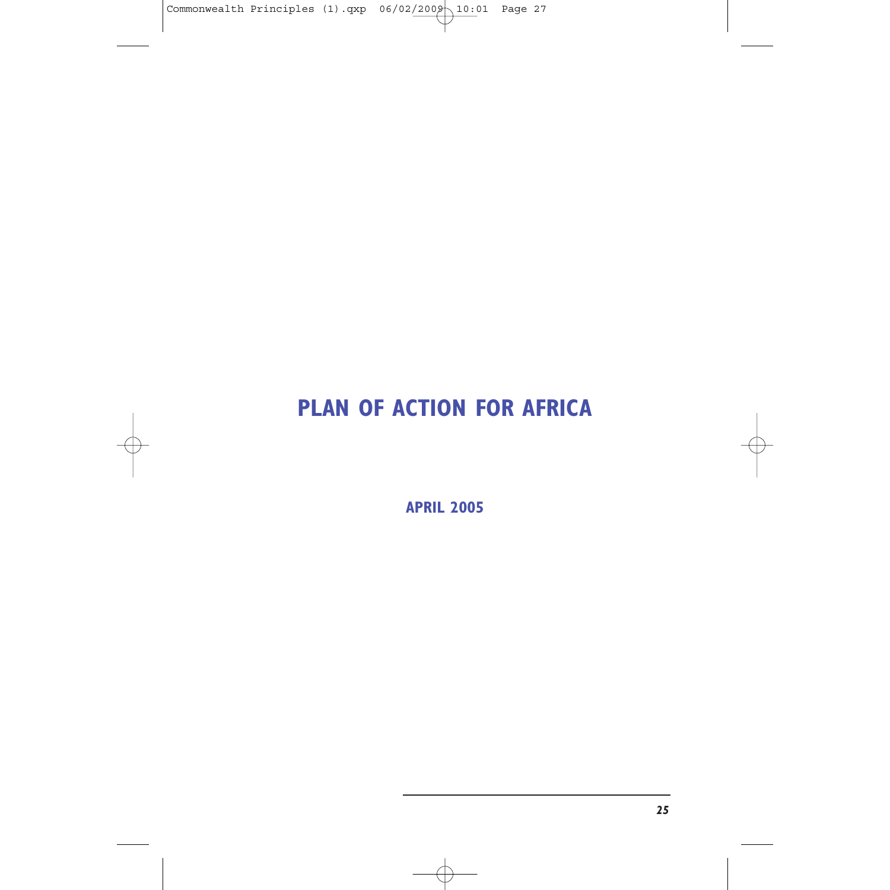# **PLAN OF ACTION FOR AFRICA**

**APRIL 2005**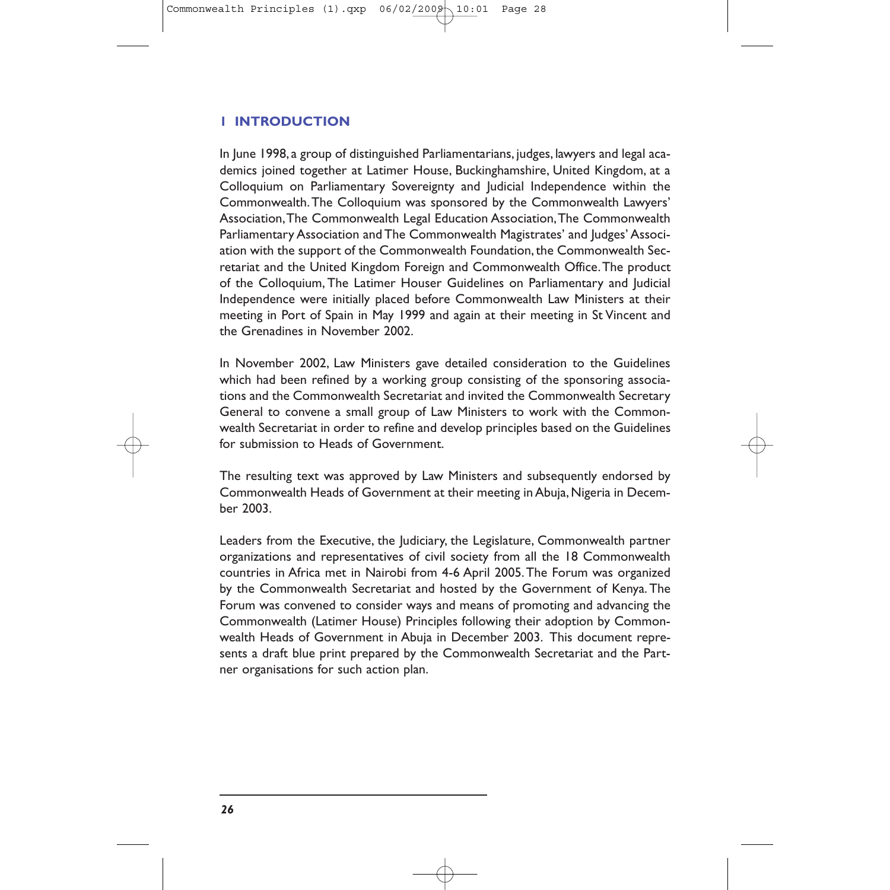#### **1 INTRODUCTION**

In June 1998, a group of distinguished Parliamentarians, judges, lawyers and legal academics joined together at Latimer House, Buckinghamshire, United Kingdom, at a Colloquium on Parliamentary Sovereignty and Judicial Independence within the Commonwealth.The Colloquium was sponsored by the Commonwealth Lawyers' Association,The Commonwealth Legal Education Association,The Commonwealth Parliamentary Association and The Commonwealth Magistrates' and Judges' Association with the support of the Commonwealth Foundation, the Commonwealth Secretariat and the United Kingdom Foreign and Commonwealth Office.The product of the Colloquium, The Latimer Houser Guidelines on Parliamentary and Judicial Independence were initially placed before Commonwealth Law Ministers at their meeting in Port of Spain in May 1999 and again at their meeting in St Vincent and the Grenadines in November 2002.

In November 2002, Law Ministers gave detailed consideration to the Guidelines which had been refined by a working group consisting of the sponsoring associations and the Commonwealth Secretariat and invited the Commonwealth Secretary General to convene a small group of Law Ministers to work with the Commonwealth Secretariat in order to refine and develop principles based on the Guidelines for submission to Heads of Government.

The resulting text was approved by Law Ministers and subsequently endorsed by Commonwealth Heads of Government at their meeting in Abuja, Nigeria in December 2003.

Leaders from the Executive, the Judiciary, the Legislature, Commonwealth partner organizations and representatives of civil society from all the 18 Commonwealth countries in Africa met in Nairobi from 4-6 April 2005.The Forum was organized by the Commonwealth Secretariat and hosted by the Government of Kenya. The Forum was convened to consider ways and means of promoting and advancing the Commonwealth (Latimer House) Principles following their adoption by Commonwealth Heads of Government in Abuja in December 2003. This document represents a draft blue print prepared by the Commonwealth Secretariat and the Partner organisations for such action plan.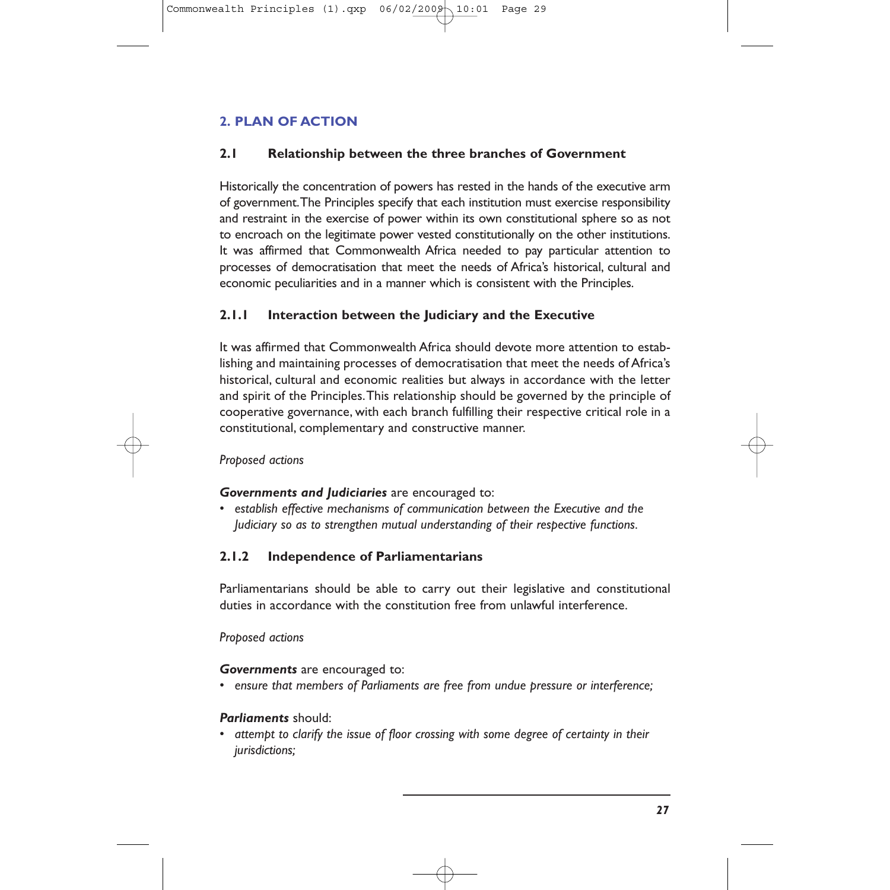# **2. PLAN OF ACTION**

# **2.1 Relationship between the three branches of Government**

Historically the concentration of powers has rested in the hands of the executive arm of government.The Principles specify that each institution must exercise responsibility and restraint in the exercise of power within its own constitutional sphere so as not to encroach on the legitimate power vested constitutionally on the other institutions. It was affirmed that Commonwealth Africa needed to pay particular attention to processes of democratisation that meet the needs of Africa's historical, cultural and economic peculiarities and in a manner which is consistent with the Principles.

# **2.1.1 Interaction between the Judiciary and the Executive**

It was affirmed that Commonwealth Africa should devote more attention to establishing and maintaining processes of democratisation that meet the needs of Africa's historical, cultural and economic realities but always in accordance with the letter and spirit of the Principles.This relationship should be governed by the principle of cooperative governance, with each branch fulfilling their respective critical role in a constitutional, complementary and constructive manner.

*Proposed actions*

*Governments and Judiciaries* are encouraged to:

• *establish effective mechanisms of communication between the Executive and the Judiciary so as to strengthen mutual understanding of their respective functions.*

# **2.1.2 Independence of Parliamentarians**

Parliamentarians should be able to carry out their legislative and constitutional duties in accordance with the constitution free from unlawful interference.

# *Proposed actions*

# *Governments* are encouraged to:

• *ensure that members of Parliaments are free from undue pressure or interference;*

# *Parliaments* should:

• *attempt to clarify the issue of floor crossing with some degree of certainty in their jurisdictions;*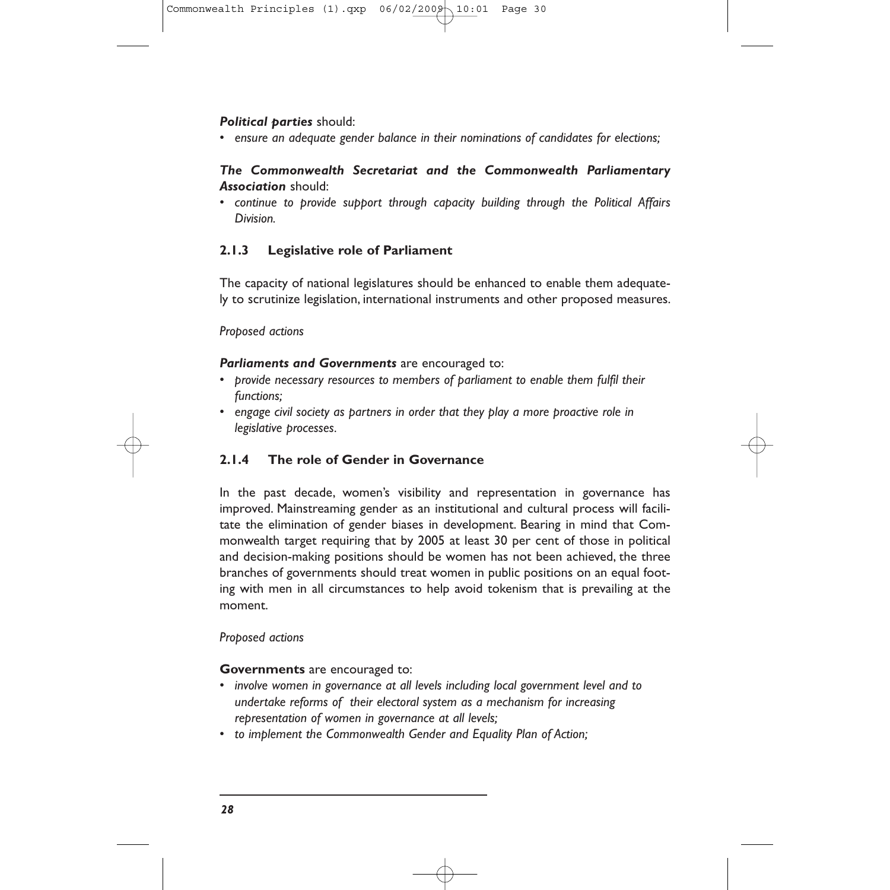#### *Political parties* should:

• *ensure an adequate gender balance in their nominations of candidates for elections;*

# *The Commonwealth Secretariat and the Commonwealth Parliamentary Association* should:

• *continue to provide support through capacity building through the Political Affairs Division.*

# **2.1.3 Legislative role of Parliament**

The capacity of national legislatures should be enhanced to enable them adequately to scrutinize legislation, international instruments and other proposed measures.

#### *Proposed actions*

# *Parliaments and Governments* are encouraged to:

- *provide necessary resources to members of parliament to enable them fulfil their functions;*
- *engage civil society as partners in order that they play a more proactive role in legislative processes.*

# **2.1.4 The role of Gender in Governance**

In the past decade, women's visibility and representation in governance has improved. Mainstreaming gender as an institutional and cultural process will facilitate the elimination of gender biases in development. Bearing in mind that Commonwealth target requiring that by 2005 at least 30 per cent of those in political and decision-making positions should be women has not been achieved, the three branches of governments should treat women in public positions on an equal footing with men in all circumstances to help avoid tokenism that is prevailing at the moment.

#### *Proposed actions*

#### **Governments** are encouraged to:

- *involve women in governance at all levels including local government level and to undertake reforms of their electoral system as a mechanism for increasing representation of women in governance at all levels;*
- *to implement the Commonwealth Gender and Equality Plan of Action;*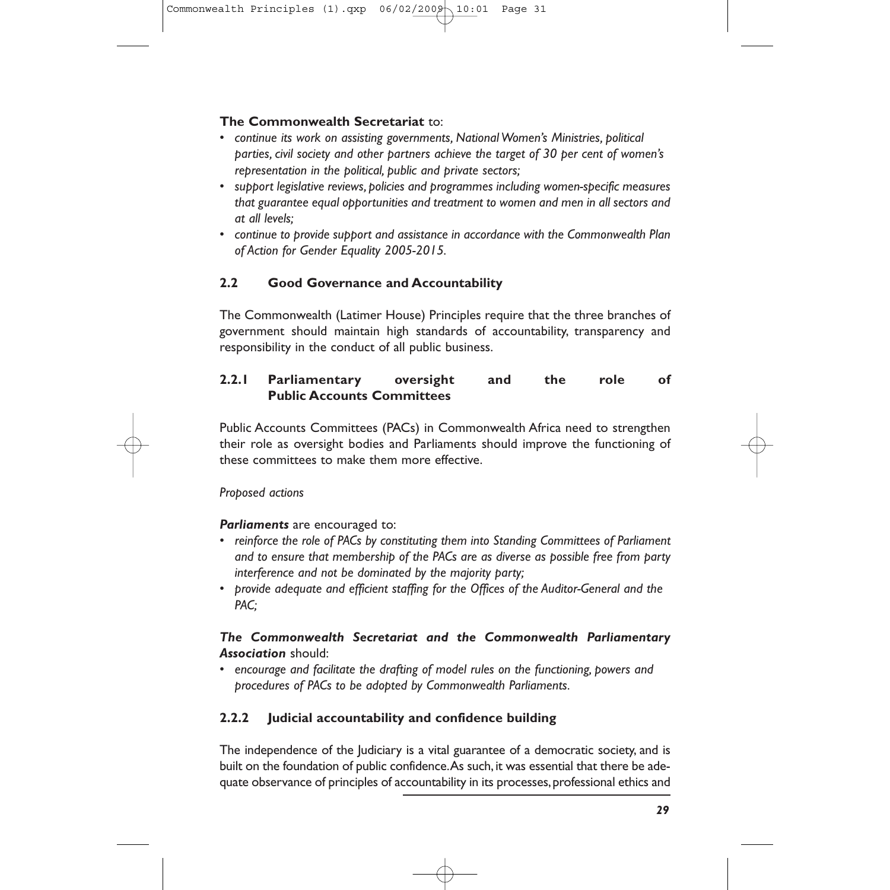#### **The Commonwealth Secretariat** to:

- *continue its work on assisting governments, National Women's Ministries, political parties, civil society and other partners achieve the target of 30 per cent of women's representation in the political, public and private sectors;*
- *support legislative reviews, policies and programmes including women-specific measures that guarantee equal opportunities and treatment to women and men in all sectors and at all levels;*
- *continue to provide support and assistance in accordance with the Commonwealth Plan of Action for Gender Equality 2005-2015.*

# **2.2 Good Governance and Accountability**

The Commonwealth (Latimer House) Principles require that the three branches of government should maintain high standards of accountability, transparency and responsibility in the conduct of all public business.

# **2.2.1 Parliamentary oversight and the role of Public Accounts Committees**

Public Accounts Committees (PACs) in Commonwealth Africa need to strengthen their role as oversight bodies and Parliaments should improve the functioning of these committees to make them more effective.

#### *Proposed actions*

#### *Parliaments* are encouraged to:

- *reinforce the role of PACs by constituting them into Standing Committees of Parliament and to ensure that membership of the PACs are as diverse as possible free from party interference and not be dominated by the majority party;*
- *provide adequate and efficient staffing for the Offices of the Auditor-General and the PAC;*

# *The Commonwealth Secretariat and the Commonwealth Parliamentary Association* should:

• *encourage and facilitate the drafting of model rules on the functioning, powers and procedures of PACs to be adopted by Commonwealth Parliaments.*

# **2.2.2 Judicial accountability and confidence building**

The independence of the Judiciary is a vital guarantee of a democratic society, and is built on the foundation of public confidence.As such,it was essential that there be adequate observance of principles of accountability in its processes, professional ethics and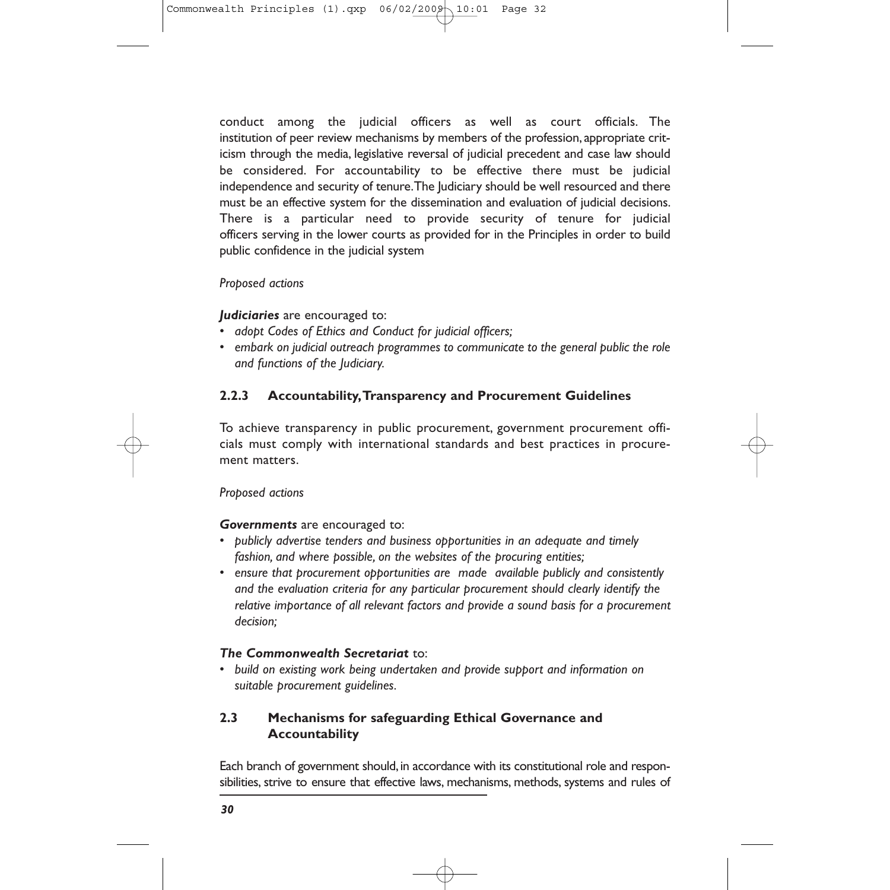conduct among the judicial officers as well as court officials. The institution of peer review mechanisms by members of the profession, appropriate criticism through the media, legislative reversal of judicial precedent and case law should be considered. For accountability to be effective there must be judicial independence and security of tenure.The Judiciary should be well resourced and there must be an effective system for the dissemination and evaluation of judicial decisions. There is a particular need to provide security of tenure for judicial officers serving in the lower courts as provided for in the Principles in order to build public confidence in the judicial system

#### *Proposed actions*

#### *Judiciaries* are encouraged to:

- *adopt Codes of Ethics and Conduct for judicial officers;*
- *embark on judicial outreach programmes to communicate to the general public the role and functions of the Judiciary.*

## **2.2.3 Accountability,Transparency and Procurement Guidelines**

To achieve transparency in public procurement, government procurement officials must comply with international standards and best practices in procurement matters.

#### *Proposed actions*

#### *Governments* are encouraged to:

- *publicly advertise tenders and business opportunities in an adequate and timely fashion, and where possible, on the websites of the procuring entities;*
- *ensure that procurement opportunities are made available publicly and consistently and the evaluation criteria for any particular procurement should clearly identify the relative importance of all relevant factors and provide a sound basis for a procurement decision;*

# *The Commonwealth Secretariat* to:

• *build on existing work being undertaken and provide support and information on suitable procurement guidelines.*

# **2.3 Mechanisms for safeguarding Ethical Governance and Accountability**

Each branch of government should, in accordance with its constitutional role and responsibilities, strive to ensure that effective laws, mechanisms, methods, systems and rules of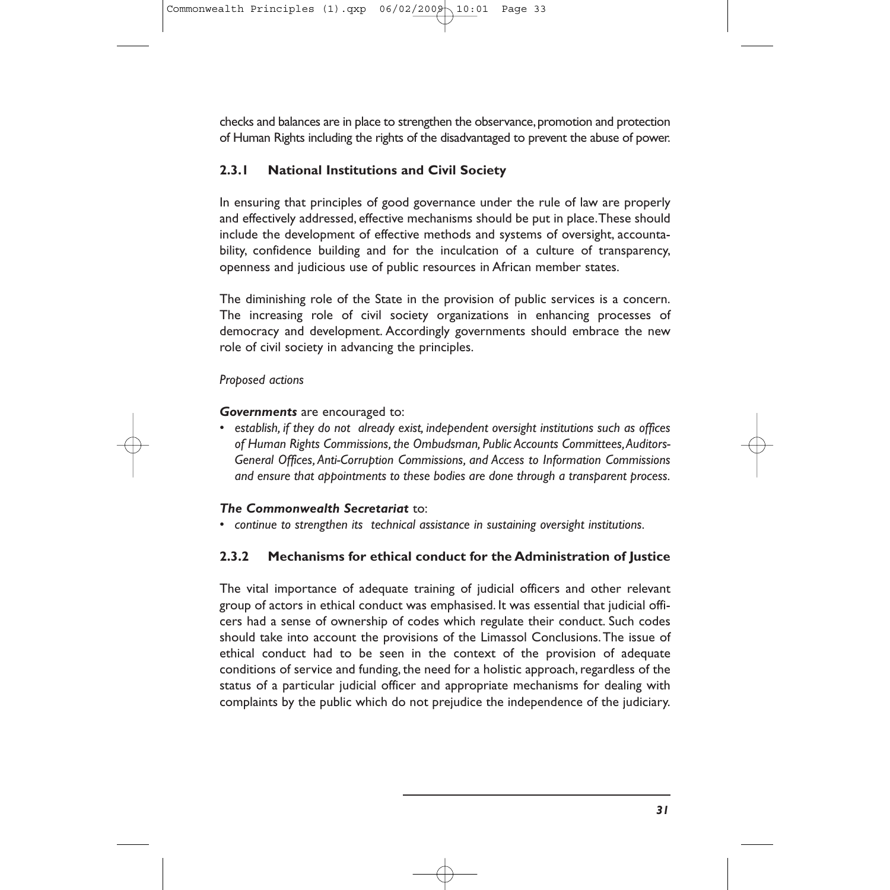checks and balances are in place to strengthen the observance, promotion and protection of Human Rights including the rights of the disadvantaged to prevent the abuse of power.

# **2.3.1 National Institutions and Civil Society**

In ensuring that principles of good governance under the rule of law are properly and effectively addressed, effective mechanisms should be put in place.These should include the development of effective methods and systems of oversight, accountability, confidence building and for the inculcation of a culture of transparency, openness and judicious use of public resources in African member states.

The diminishing role of the State in the provision of public services is a concern. The increasing role of civil society organizations in enhancing processes of democracy and development. Accordingly governments should embrace the new role of civil society in advancing the principles.

*Proposed actions*

*Governments* are encouraged to:

• *establish, if they do not already exist, independent oversight institutions such as offices of Human Rights Commissions, the Ombudsman, Public Accounts Committees,Auditors-General Offices, Anti-Corruption Commissions, and Access to Information Commissions and ensure that appointments to these bodies are done through a transparent process.*

# *The Commonwealth Secretariat* to:

• *continue to strengthen its technical assistance in sustaining oversight institutions.*

# **2.3.2 Mechanisms for ethical conduct for the Administration of Justice**

The vital importance of adequate training of judicial officers and other relevant group of actors in ethical conduct was emphasised. It was essential that judicial officers had a sense of ownership of codes which regulate their conduct. Such codes should take into account the provisions of the Limassol Conclusions.The issue of ethical conduct had to be seen in the context of the provision of adequate conditions of service and funding, the need for a holistic approach, regardless of the status of a particular judicial officer and appropriate mechanisms for dealing with complaints by the public which do not prejudice the independence of the judiciary.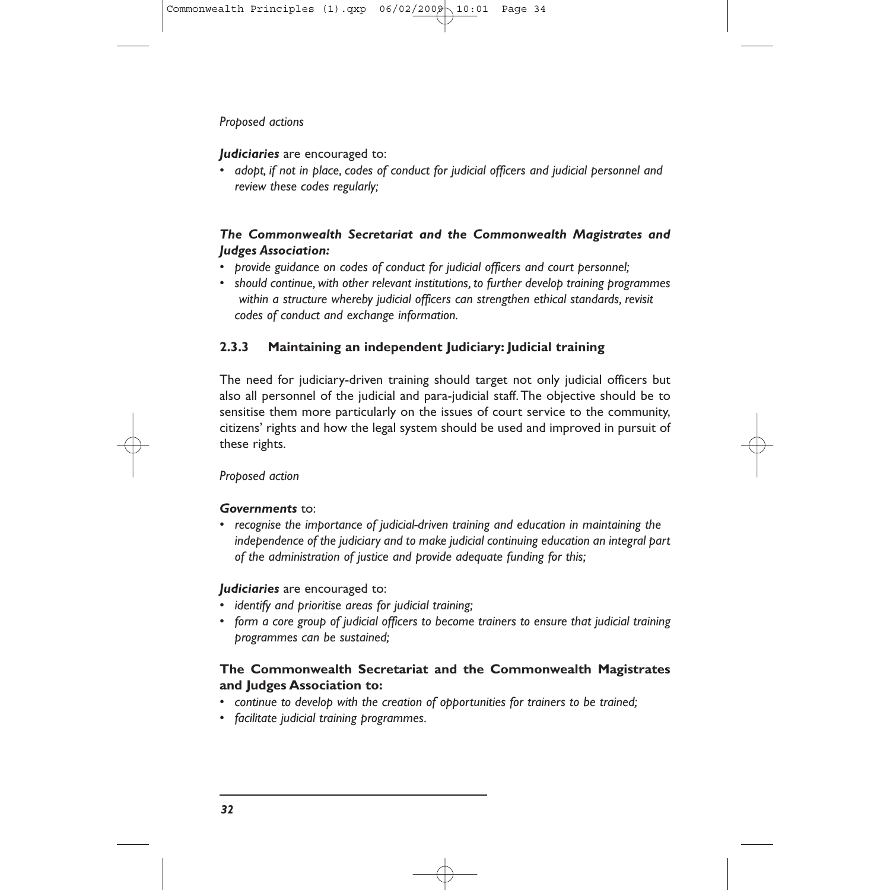*Proposed actions*

*Judiciaries* are encouraged to:

• *adopt, if not in place, codes of conduct for judicial officers and judicial personnel and review these codes regularly;*

# *The Commonwealth Secretariat and the Commonwealth Magistrates and Judges Association:*

- *provide guidance on codes of conduct for judicial officers and court personnel;*
- *should continue, with other relevant institutions, to further develop training programmes within a structure whereby judicial officers can strengthen ethical standards, revisit codes of conduct and exchange information.*

# **2.3.3 Maintaining an independent Judiciary: Judicial training**

The need for judiciary-driven training should target not only judicial officers but also all personnel of the judicial and para-judicial staff.The objective should be to sensitise them more particularly on the issues of court service to the community, citizens' rights and how the legal system should be used and improved in pursuit of these rights.

# *Proposed action*

# *Governments* to:

• *recognise the importance of judicial-driven training and education in maintaining the independence of the judiciary and to make judicial continuing education an integral part of the administration of justice and provide adequate funding for this;*

#### *Judiciaries* are encouraged to:

- *identify and prioritise areas for judicial training;*
- *form a core group of judicial officers to become trainers to ensure that judicial training programmes can be sustained;*

# **The Commonwealth Secretariat and the Commonwealth Magistrates and Judges Association to:**

- *continue to develop with the creation of opportunities for trainers to be trained;*
- *facilitate judicial training programmes.*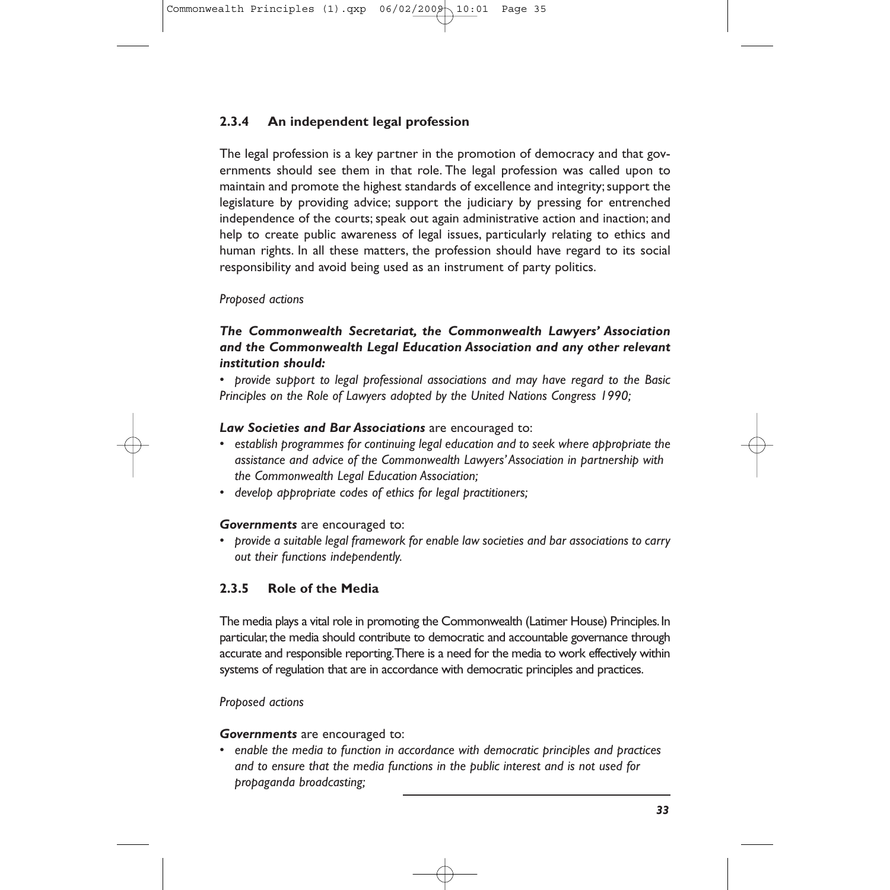# **2.3.4 An independent legal profession**

The legal profession is a key partner in the promotion of democracy and that governments should see them in that role. The legal profession was called upon to maintain and promote the highest standards of excellence and integrity; support the legislature by providing advice; support the judiciary by pressing for entrenched independence of the courts; speak out again administrative action and inaction; and help to create public awareness of legal issues, particularly relating to ethics and human rights. In all these matters, the profession should have regard to its social responsibility and avoid being used as an instrument of party politics.

# *Proposed actions*

# *The Commonwealth Secretariat, the Commonwealth Lawyers' Association and the Commonwealth Legal Education Association and any other relevant institution should:*

• *provide support to legal professional associations and may have regard to the Basic Principles on the Role of Lawyers adopted by the United Nations Congress 1990;*

# *Law Societies and Bar Associations* are encouraged to:

- *establish programmes for continuing legal education and to seek where appropriate the assistance and advice of the Commonwealth Lawyers'Association in partnership with the Commonwealth Legal Education Association;*
- *develop appropriate codes of ethics for legal practitioners;*

# *Governments* are encouraged to:

• *provide a suitable legal framework for enable law societies and bar associations to carry out their functions independently.*

# **2.3.5 Role of the Media**

The media plays a vital role in promoting the Commonwealth (Latimer House) Principles. In particular, the media should contribute to democratic and accountable governance through accurate and responsible reporting.There is a need for the media to work effectively within systems of regulation that are in accordance with democratic principles and practices.

# *Proposed actions*

# *Governments* are encouraged to:

• *enable the media to function in accordance with democratic principles and practices and to ensure that the media functions in the public interest and is not used for propaganda broadcasting;*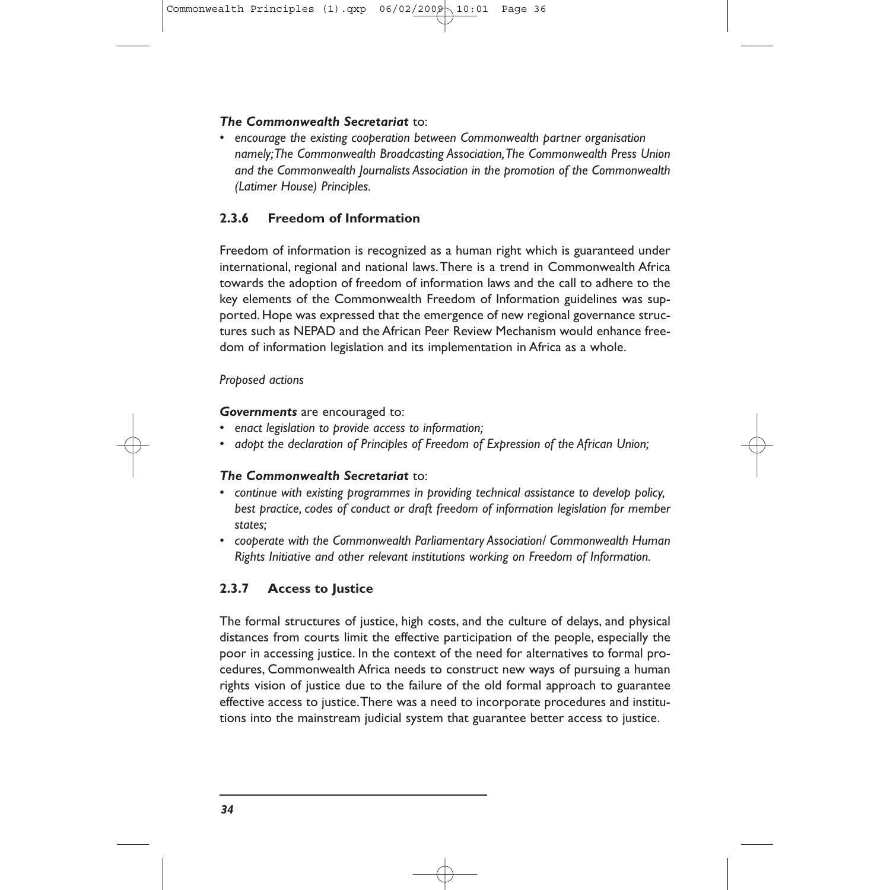#### *The Commonwealth Secretariat* to:

• *encourage the existing cooperation between Commonwealth partner organisation namely;The Commonwealth Broadcasting Association,The Commonwealth Press Union and the Commonwealth Journalists Association in the promotion of the Commonwealth (Latimer House) Principles.*

# **2.3.6 Freedom of Information**

Freedom of information is recognized as a human right which is guaranteed under international, regional and national laws.There is a trend in Commonwealth Africa towards the adoption of freedom of information laws and the call to adhere to the key elements of the Commonwealth Freedom of Information guidelines was supported. Hope was expressed that the emergence of new regional governance structures such as NEPAD and the African Peer Review Mechanism would enhance freedom of information legislation and its implementation in Africa as a whole.

#### *Proposed actions*

*Governments* are encouraged to:

- *enact legislation to provide access to information;*
- *adopt the declaration of Principles of Freedom of Expression of the African Union;*

#### *The Commonwealth Secretariat* to:

- *continue with existing programmes in providing technical assistance to develop policy, best practice, codes of conduct or draft freedom of information legislation for member states;*
- *cooperate with the Commonwealth Parliamentary Association/ Commonwealth Human Rights Initiative and other relevant institutions working on Freedom of Information.*

# **2.3.7 Access to Justice**

The formal structures of justice, high costs, and the culture of delays, and physical distances from courts limit the effective participation of the people, especially the poor in accessing justice. In the context of the need for alternatives to formal procedures, Commonwealth Africa needs to construct new ways of pursuing a human rights vision of justice due to the failure of the old formal approach to guarantee effective access to justice.There was a need to incorporate procedures and institutions into the mainstream judicial system that guarantee better access to justice.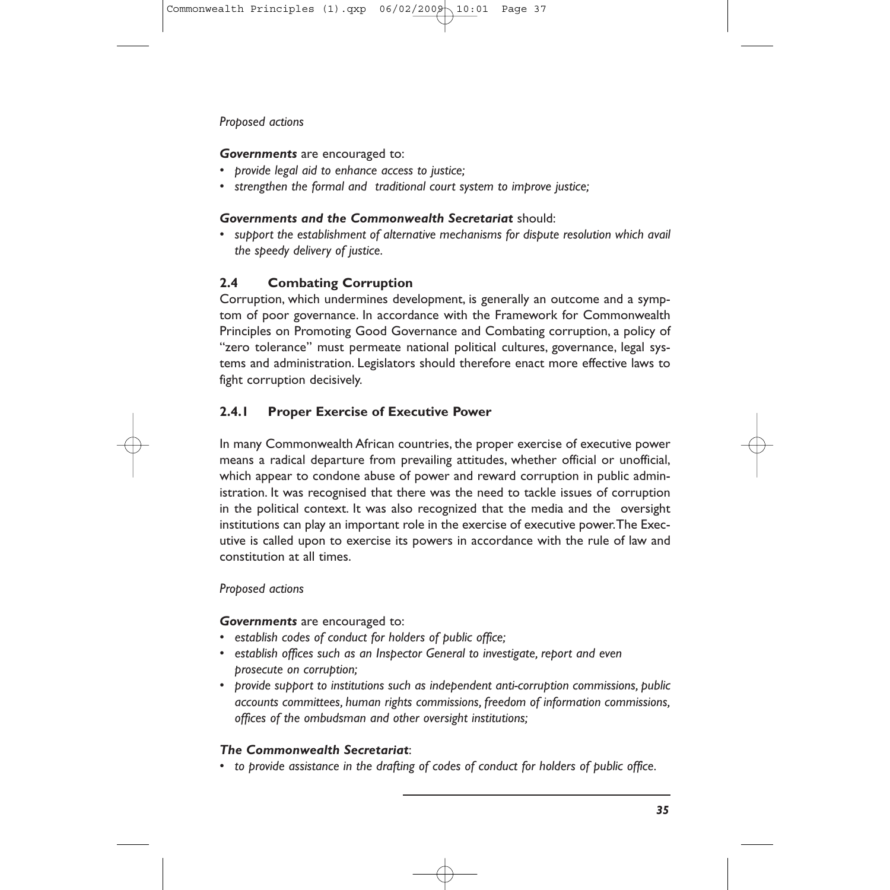*Proposed actions*

*Governments* are encouraged to:

- *provide legal aid to enhance access to justice;*
- *strengthen the formal and traditional court system to improve justice;*

# *Governments and the Commonwealth Secretariat* should:

• *support the establishment of alternative mechanisms for dispute resolution which avail the speedy delivery of justice.*

# **2.4 Combating Corruption**

Corruption, which undermines development, is generally an outcome and a symptom of poor governance. In accordance with the Framework for Commonwealth Principles on Promoting Good Governance and Combating corruption, a policy of "zero tolerance" must permeate national political cultures, governance, legal systems and administration. Legislators should therefore enact more effective laws to fight corruption decisively.

# **2.4.1 Proper Exercise of Executive Power**

In many Commonwealth African countries, the proper exercise of executive power means a radical departure from prevailing attitudes, whether official or unofficial, which appear to condone abuse of power and reward corruption in public administration. It was recognised that there was the need to tackle issues of corruption in the political context. It was also recognized that the media and the oversight institutions can play an important role in the exercise of executive power.The Executive is called upon to exercise its powers in accordance with the rule of law and constitution at all times.

#### *Proposed actions*

*Governments* are encouraged to:

- *establish codes of conduct for holders of public office;*
- *establish offices such as an Inspector General to investigate, report and even prosecute on corruption;*
- *provide support to institutions such as independent anti-corruption commissions, public accounts committees, human rights commissions, freedom of information commissions, offices of the ombudsman and other oversight institutions;*

# *The Commonwealth Secretariat*:

• *to provide assistance in the drafting of codes of conduct for holders of public office.*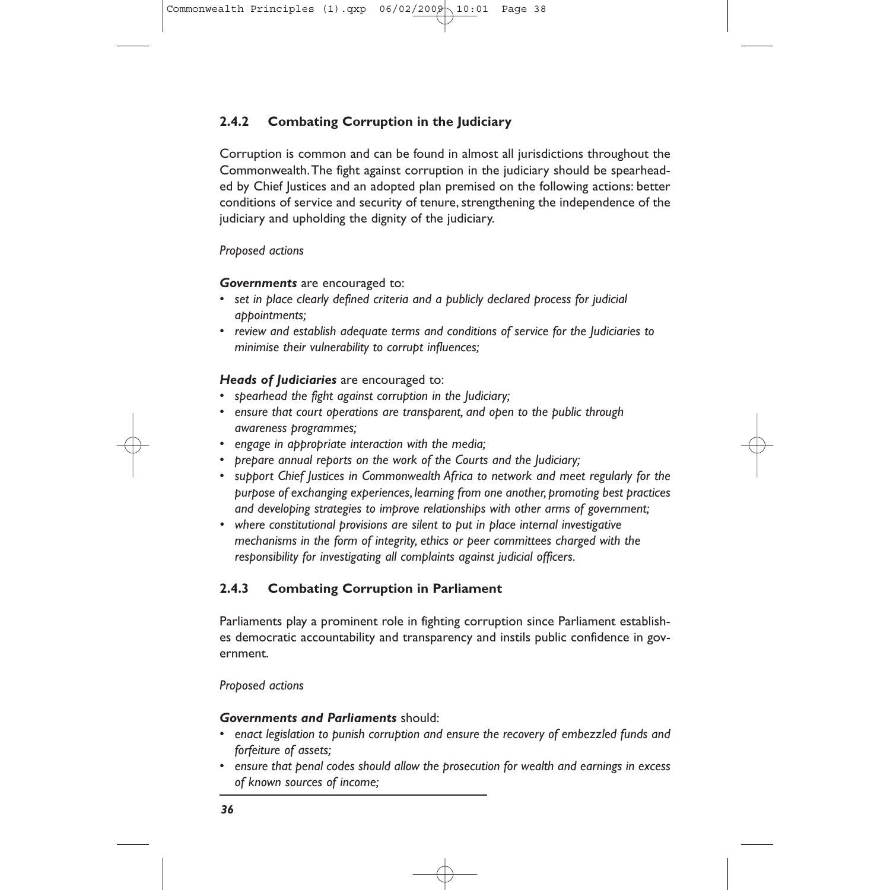# **2.4.2 Combating Corruption in the Judiciary**

Corruption is common and can be found in almost all jurisdictions throughout the Commonwealth.The fight against corruption in the judiciary should be spearheaded by Chief Justices and an adopted plan premised on the following actions: better conditions of service and security of tenure, strengthening the independence of the judiciary and upholding the dignity of the judiciary.

#### *Proposed actions*

#### *Governments* are encouraged to:

- *set in place clearly defined criteria and a publicly declared process for judicial appointments;*
- *review and establish adequate terms and conditions of service for the Judiciaries to minimise their vulnerability to corrupt influences;*

#### *Heads of Judiciaries* are encouraged to:

- *spearhead the fight against corruption in the Judiciary;*
- *ensure that court operations are transparent, and open to the public through awareness programmes;*
- *engage in appropriate interaction with the media;*
- *prepare annual reports on the work of the Courts and the Judiciary;*
- *support Chief Justices in Commonwealth Africa to network and meet regularly for the purpose of exchanging experiences, learning from one another, promoting best practices and developing strategies to improve relationships with other arms of government;*
- *where constitutional provisions are silent to put in place internal investigative mechanisms in the form of integrity, ethics or peer committees charged with the responsibility for investigating all complaints against judicial officers.*

# **2.4.3 Combating Corruption in Parliament**

Parliaments play a prominent role in fighting corruption since Parliament establishes democratic accountability and transparency and instils public confidence in government.

#### *Proposed actions*

# *Governments and Parliaments* should:

- *enact legislation to punish corruption and ensure the recovery of embezzled funds and forfeiture of assets;*
- *ensure that penal codes should allow the prosecution for wealth and earnings in excess of known sources of income;*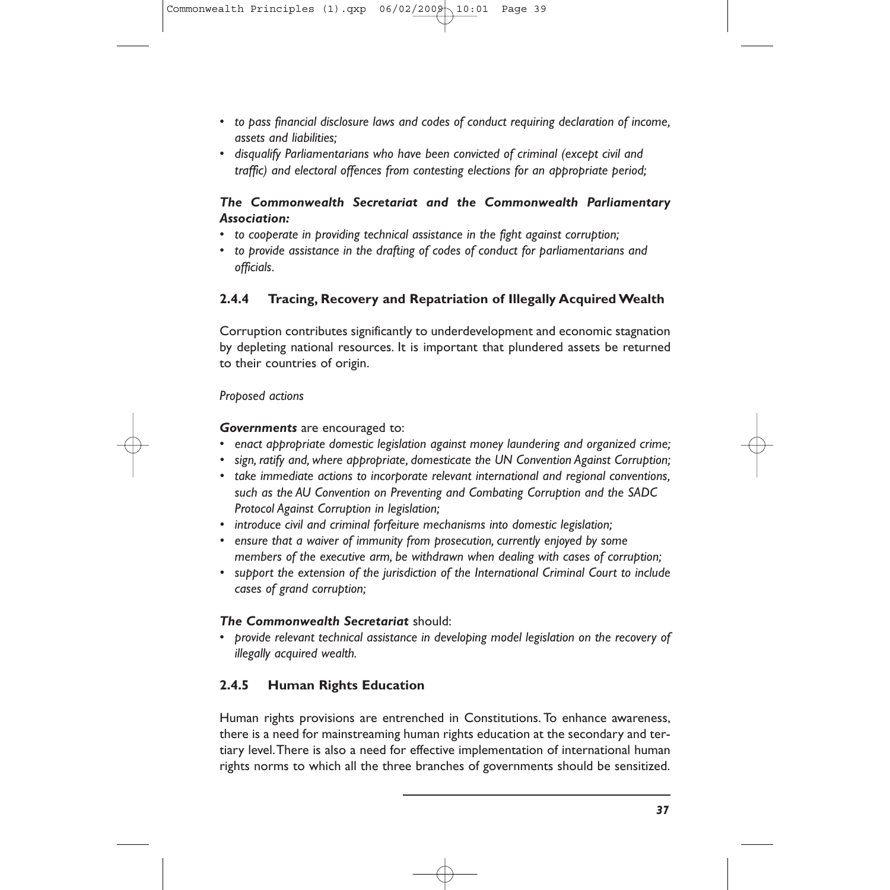- *to pass financial disclosure laws and codes of conduct requiring declaration of income, assets and liabilities;*
- *disqualify Parliamentarians who have been convicted of criminal (except civil and traffic) and electoral offences from contesting elections for an appropriate period;*

# *The Commonwealth Secretariat and the Commonwealth Parliamentary Association:*

- *to cooperate in providing technical assistance in the fight against corruption;*
- *to provide assistance in the drafting of codes of conduct for parliamentarians and officials.*

# **2.4.4 Tracing, Recovery and Repatriation of Illegally Acquired Wealth**

Corruption contributes significantly to underdevelopment and economic stagnation by depleting national resources. It is important that plundered assets be returned to their countries of origin.

# *Proposed actions*

# *Governments* are encouraged to:

- *enact appropriate domestic legislation against money laundering and organized crime;*
- *sign, ratify and, where appropriate, domesticate the UN Convention Against Corruption;*
- *take immediate actions to incorporate relevant international and regional conventions, such as the AU Convention on Preventing and Combating Corruption and the SADC Protocol Against Corruption in legislation;*
- *introduce civil and criminal forfeiture mechanisms into domestic legislation;*
- *ensure that a waiver of immunity from prosecution, currently enjoyed by some members of the executive arm, be withdrawn when dealing with cases of corruption;*
- *support the extension of the jurisdiction of the International Criminal Court to include cases of grand corruption;*

# *The Commonwealth Secretariat* should:

• *provide relevant technical assistance in developing model legislation on the recovery of illegally acquired wealth.*

# **2.4.5 Human Rights Education**

Human rights provisions are entrenched in Constitutions. To enhance awareness, there is a need for mainstreaming human rights education at the secondary and tertiary level.There is also a need for effective implementation of international human rights norms to which all the three branches of governments should be sensitized.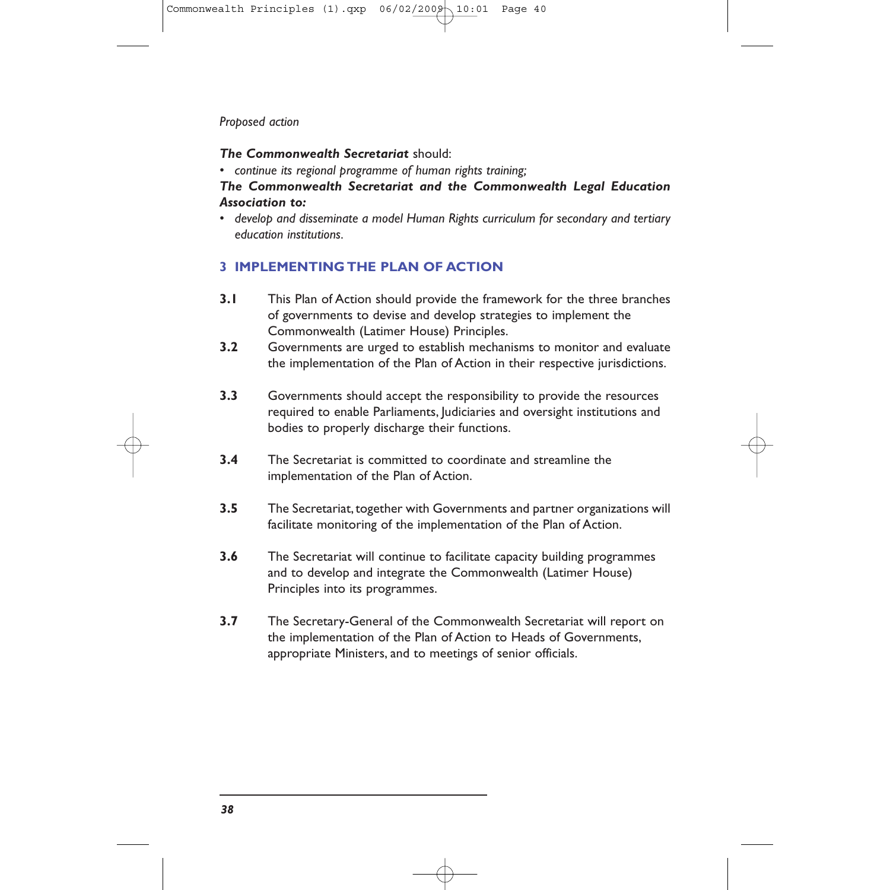*Proposed action*

# *The Commonwealth Secretariat* should:

• *continue its regional programme of human rights training;*

*The Commonwealth Secretariat and the Commonwealth Legal Education Association to:*

• *develop and disseminate a model Human Rights curriculum for secondary and tertiary education institutions.*

# **3 IMPLEMENTING THE PLAN OF ACTION**

- **3.1** This Plan of Action should provide the framework for the three branches of governments to devise and develop strategies to implement the Commonwealth (Latimer House) Principles.
- **3.2** Governments are urged to establish mechanisms to monitor and evaluate the implementation of the Plan of Action in their respective jurisdictions.
- **3.3** Governments should accept the responsibility to provide the resources required to enable Parliaments, Judiciaries and oversight institutions and bodies to properly discharge their functions.
- **3.4** The Secretariat is committed to coordinate and streamline the implementation of the Plan of Action.
- **3.5** The Secretariat, together with Governments and partner organizations will facilitate monitoring of the implementation of the Plan of Action.
- **3.6** The Secretariat will continue to facilitate capacity building programmes and to develop and integrate the Commonwealth (Latimer House) Principles into its programmes.
- **3.7** The Secretary-General of the Commonwealth Secretariat will report on the implementation of the Plan of Action to Heads of Governments, appropriate Ministers, and to meetings of senior officials.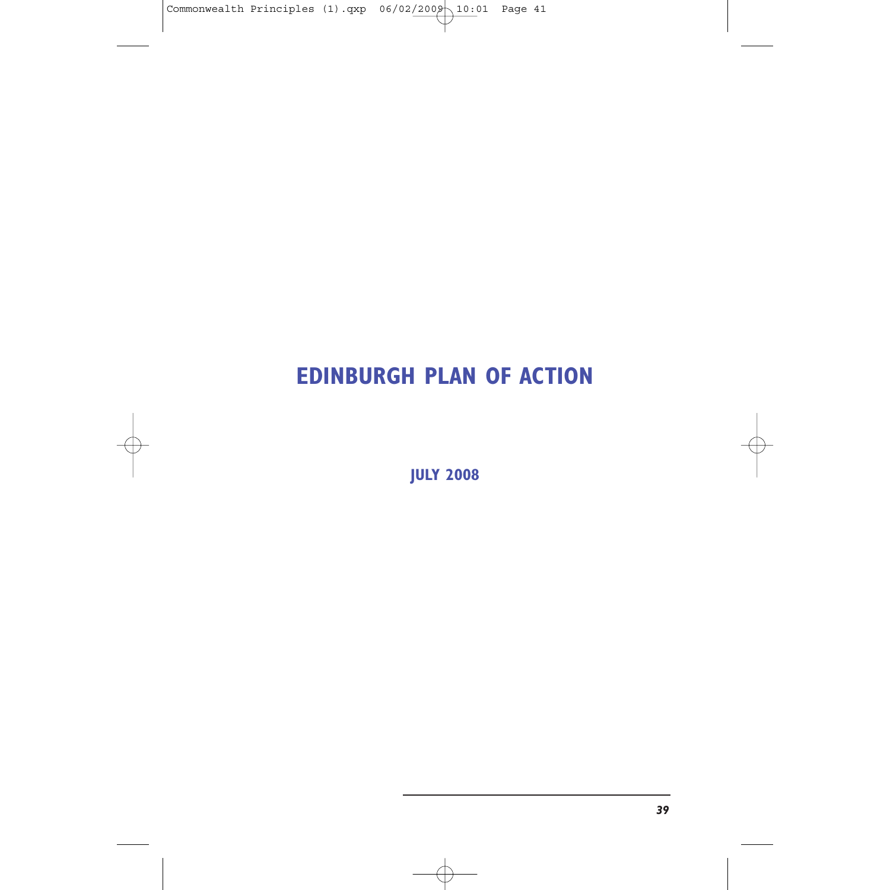# **EDINBURGH PLAN OF ACTION**

**JULY 2008**

*39*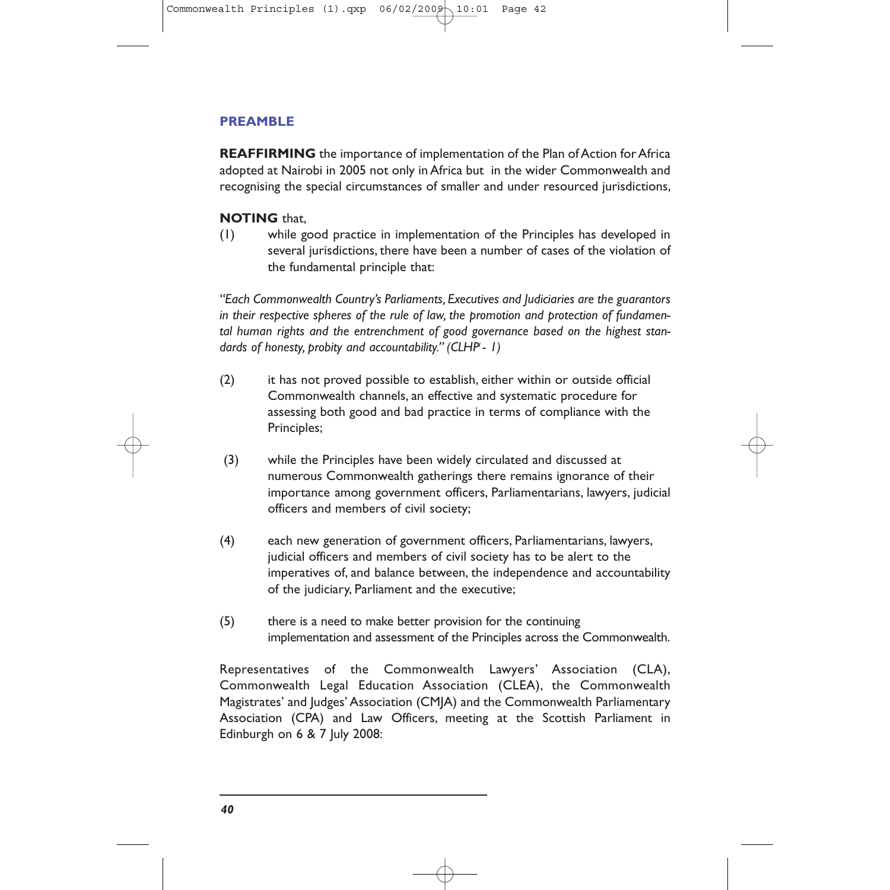# **PREAMBLE**

**REAFFIRMING** the importance of implementation of the Plan of Action for Africa adopted at Nairobi in 2005 not only in Africa but in the wider Commonwealth and recognising the special circumstances of smaller and under resourced jurisdictions,

# **NOTING** that,

(1) while good practice in implementation of the Principles has developed in several jurisdictions, there have been a number of cases of the violation of the fundamental principle that:

*"Each Commonwealth Country's Parliaments, Executives and Judiciaries are the guarantors in their respective spheres of the rule of law, the promotion and protection of fundamental human rights and the entrenchment of good governance based on the highest standards of honesty, probity and accountability." (CLHPI - 1)*

- (2) it has not proved possible to establish, either within or outside official Commonwealth channels, an effective and systematic procedure for assessing both good and bad practice in terms of compliance with the Principles;
- (3) while the Principles have been widely circulated and discussed at numerous Commonwealth gatherings there remains ignorance of their importance among government officers, Parliamentarians, lawyers, judicial officers and members of civil society;
- (4) each new generation of government officers, Parliamentarians, lawyers, judicial officers and members of civil society has to be alert to the imperatives of, and balance between, the independence and accountability of the judiciary, Parliament and the executive;
- (5) there is a need to make better provision for the continuing implementation and assessment of the Principles across the Commonwealth.

Representatives of the Commonwealth Lawyers' Association (CLA), Commonwealth Legal Education Association (CLEA), the Commonwealth Magistrates' and Judges' Association (CMJA) and the Commonwealth Parliamentary Association (CPA) and Law Officers, meeting at the Scottish Parliament in Edinburgh on 6 & 7 July 2008: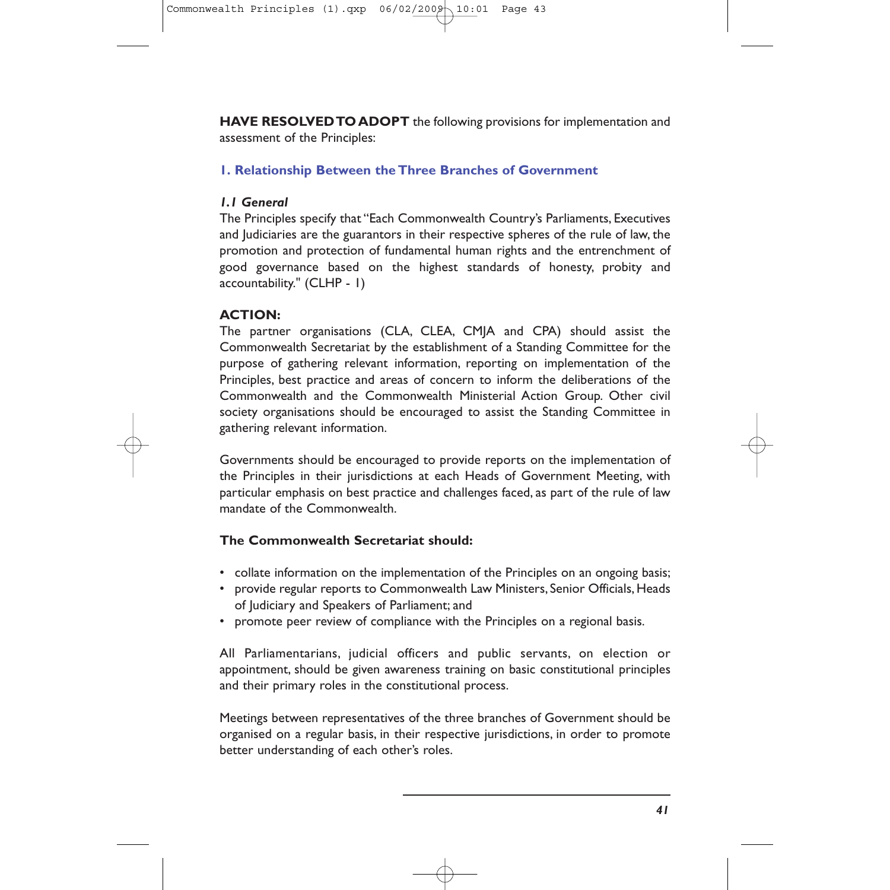**HAVE RESOLVED TO ADOPT** the following provisions for implementation and assessment of the Principles:

#### **1. Relationship Between the Three Branches of Government**

# *1.1 General*

The Principles specify that "Each Commonwealth Country's Parliaments, Executives and Judiciaries are the guarantors in their respective spheres of the rule of law, the promotion and protection of fundamental human rights and the entrenchment of good governance based on the highest standards of honesty, probity and accountability." (CLHP - 1)

#### **ACTION:**

The partner organisations (CLA, CLEA, CMJA and CPA) should assist the Commonwealth Secretariat by the establishment of a Standing Committee for the purpose of gathering relevant information, reporting on implementation of the Principles, best practice and areas of concern to inform the deliberations of the Commonwealth and the Commonwealth Ministerial Action Group. Other civil society organisations should be encouraged to assist the Standing Committee in gathering relevant information.

Governments should be encouraged to provide reports on the implementation of the Principles in their jurisdictions at each Heads of Government Meeting, with particular emphasis on best practice and challenges faced, as part of the rule of law mandate of the Commonwealth.

# **The Commonwealth Secretariat should:**

- collate information on the implementation of the Principles on an ongoing basis;
- provide regular reports to Commonwealth Law Ministers, Senior Officials, Heads of Judiciary and Speakers of Parliament; and
- promote peer review of compliance with the Principles on a regional basis.

All Parliamentarians, judicial officers and public servants, on election or appointment, should be given awareness training on basic constitutional principles and their primary roles in the constitutional process.

Meetings between representatives of the three branches of Government should be organised on a regular basis, in their respective jurisdictions, in order to promote better understanding of each other's roles.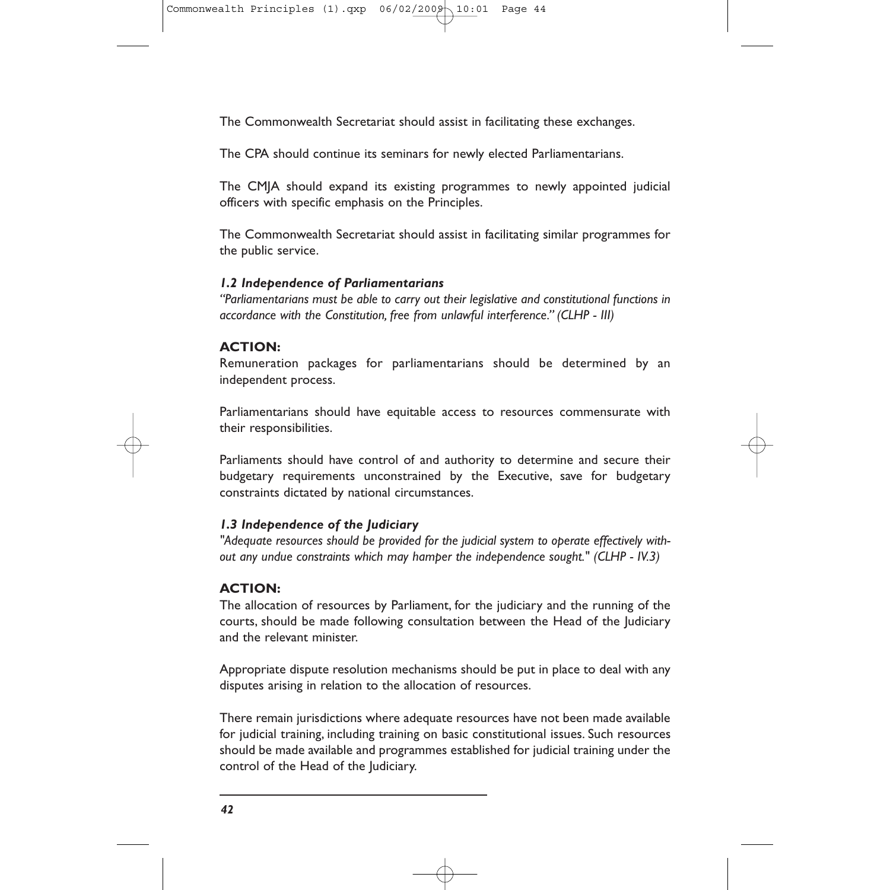The Commonwealth Secretariat should assist in facilitating these exchanges.

The CPA should continue its seminars for newly elected Parliamentarians.

The CMJA should expand its existing programmes to newly appointed judicial officers with specific emphasis on the Principles.

The Commonwealth Secretariat should assist in facilitating similar programmes for the public service.

#### *1.2 Independence of Parliamentarians*

*"Parliamentarians must be able to carry out their legislative and constitutional functions in accordance with the Constitution, free from unlawful interference." (CLHP - III)*

# **ACTION:**

Remuneration packages for parliamentarians should be determined by an independent process.

Parliamentarians should have equitable access to resources commensurate with their responsibilities.

Parliaments should have control of and authority to determine and secure their budgetary requirements unconstrained by the Executive, save for budgetary constraints dictated by national circumstances.

## *1.3 Independence of the Judiciary*

*"Adequate resources should be provided for the judicial system to operate effectively without any undue constraints which may hamper the independence sought." (CLHP - IV.3)*

# **ACTION:**

The allocation of resources by Parliament, for the judiciary and the running of the courts, should be made following consultation between the Head of the Judiciary and the relevant minister.

Appropriate dispute resolution mechanisms should be put in place to deal with any disputes arising in relation to the allocation of resources.

There remain jurisdictions where adequate resources have not been made available for judicial training, including training on basic constitutional issues. Such resources should be made available and programmes established for judicial training under the control of the Head of the Judiciary.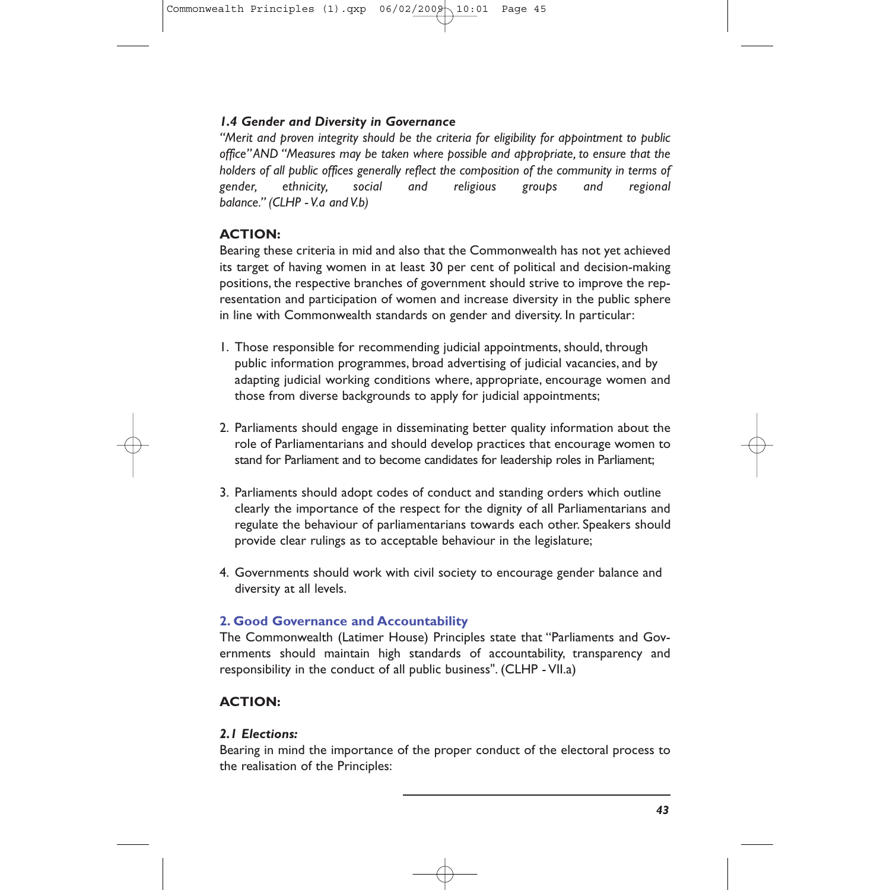### *1.4 Gender and Diversity in Governance*

*"Merit and proven integrity should be the criteria for eligibility for appointment to public office"AND "Measures may be taken where possible and appropriate, to ensure that the holders of all public offices generally reflect the composition of the community in terms of gender, ethnicity, social and religious groups and regional balance." (CLHP - V.a and V.b)*

# **ACTION:**

Bearing these criteria in mid and also that the Commonwealth has not yet achieved its target of having women in at least 30 per cent of political and decision-making positions, the respective branches of government should strive to improve the representation and participation of women and increase diversity in the public sphere in line with Commonwealth standards on gender and diversity. In particular:

- 1. Those responsible for recommending judicial appointments, should, through public information programmes, broad advertising of judicial vacancies, and by adapting judicial working conditions where, appropriate, encourage women and those from diverse backgrounds to apply for judicial appointments;
- 2. Parliaments should engage in disseminating better quality information about the role of Parliamentarians and should develop practices that encourage women to stand for Parliament and to become candidates for leadership roles in Parliament;
- 3. Parliaments should adopt codes of conduct and standing orders which outline clearly the importance of the respect for the dignity of all Parliamentarians and regulate the behaviour of parliamentarians towards each other. Speakers should provide clear rulings as to acceptable behaviour in the legislature;
- 4. Governments should work with civil society to encourage gender balance and diversity at all levels.

#### **2. Good Governance and Accountability**

The Commonwealth (Latimer House) Principles state that "Parliaments and Governments should maintain high standards of accountability, transparency and responsibility in the conduct of all public business". (CLHP - VII.a)

# **ACTION:**

#### *2.1 Elections:*

Bearing in mind the importance of the proper conduct of the electoral process to the realisation of the Principles: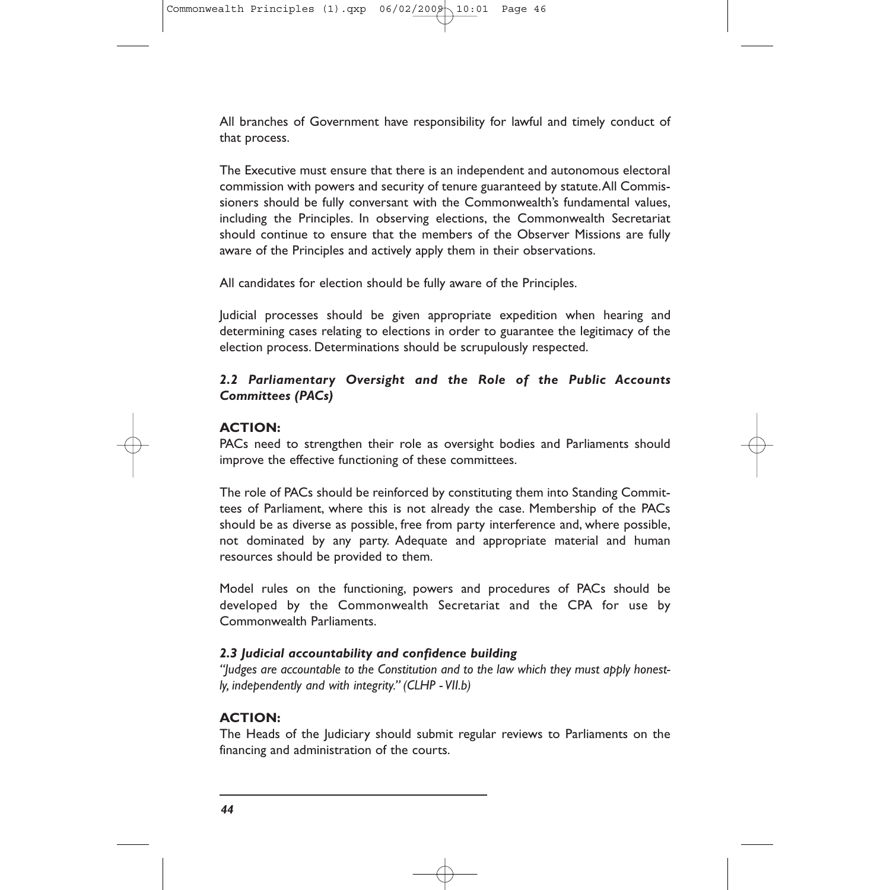All branches of Government have responsibility for lawful and timely conduct of that process.

The Executive must ensure that there is an independent and autonomous electoral commission with powers and security of tenure guaranteed by statute.All Commissioners should be fully conversant with the Commonwealth's fundamental values, including the Principles. In observing elections, the Commonwealth Secretariat should continue to ensure that the members of the Observer Missions are fully aware of the Principles and actively apply them in their observations.

All candidates for election should be fully aware of the Principles.

Judicial processes should be given appropriate expedition when hearing and determining cases relating to elections in order to guarantee the legitimacy of the election process. Determinations should be scrupulously respected.

# *2.2 Parliamentary Oversight and the Role of the Public Accounts Committees (PACs)*

# **ACTION:**

PACs need to strengthen their role as oversight bodies and Parliaments should improve the effective functioning of these committees.

The role of PACs should be reinforced by constituting them into Standing Committees of Parliament, where this is not already the case. Membership of the PACs should be as diverse as possible, free from party interference and, where possible, not dominated by any party. Adequate and appropriate material and human resources should be provided to them.

Model rules on the functioning, powers and procedures of PACs should be developed by the Commonwealth Secretariat and the CPA for use by Commonwealth Parliaments.

#### *2.3 Judicial accountability and confidence building*

*"Judges are accountable to the Constitution and to the law which they must apply honestly, independently and with integrity." (CLHP - VII.b)*

# **ACTION:**

The Heads of the Judiciary should submit regular reviews to Parliaments on the financing and administration of the courts.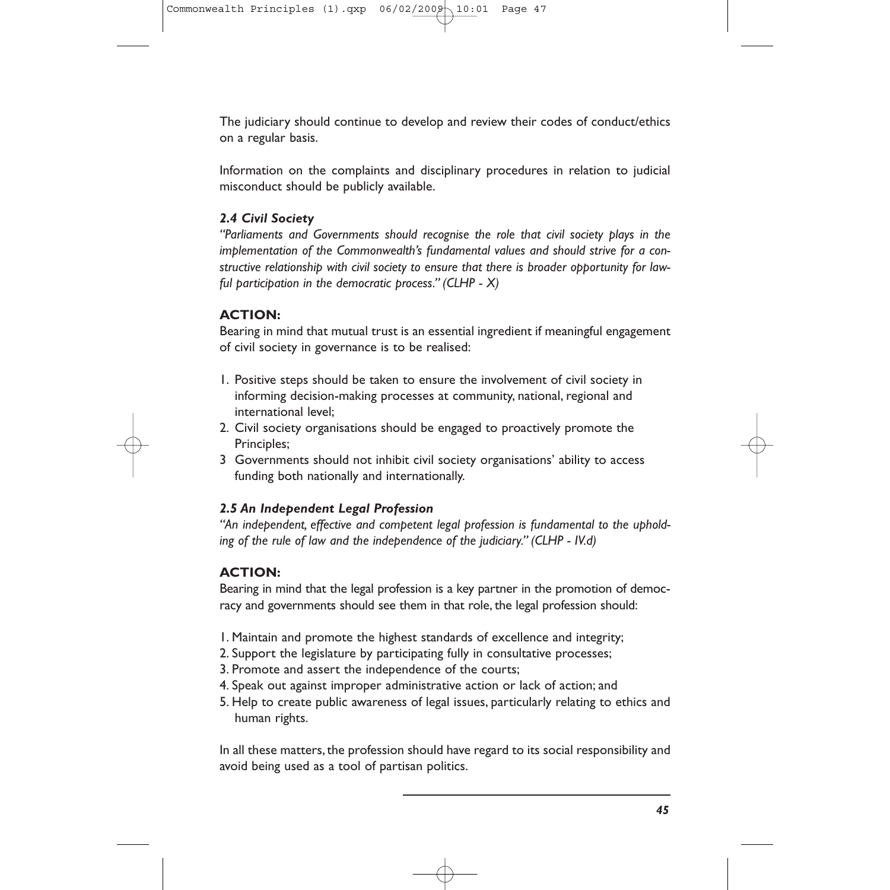The judiciary should continue to develop and review their codes of conduct/ethics on a regular basis.

Information on the complaints and disciplinary procedures in relation to judicial misconduct should be publicly available.

# *2.4 Civil Society*

*"Parliaments and Governments should recognise the role that civil society plays in the implementation of the Commonwealth's fundamental values and should strive for a constructive relationship with civil society to ensure that there is broader opportunity for lawful participation in the democratic process." (CLHP - X)*

# **ACTION:**

Bearing in mind that mutual trust is an essential ingredient if meaningful engagement of civil society in governance is to be realised:

- 1. Positive steps should be taken to ensure the involvement of civil society in informing decision-making processes at community, national, regional and international level;
- 2. Civil society organisations should be engaged to proactively promote the Principles;
- 3 Governments should not inhibit civil society organisations' ability to access funding both nationally and internationally.

# *2.5 An Independent Legal Profession*

*"An independent, effective and competent legal profession is fundamental to the upholding of the rule of law and the independence of the judiciary." (CLHP - IV.d)*

# **ACTION:**

Bearing in mind that the legal profession is a key partner in the promotion of democracy and governments should see them in that role, the legal profession should:

- 1. Maintain and promote the highest standards of excellence and integrity;
- 2. Support the legislature by participating fully in consultative processes;
- 3. Promote and assert the independence of the courts;
- 4. Speak out against improper administrative action or lack of action; and
- 5. Help to create public awareness of legal issues, particularly relating to ethics and human rights.

In all these matters, the profession should have regard to its social responsibility and avoid being used as a tool of partisan politics.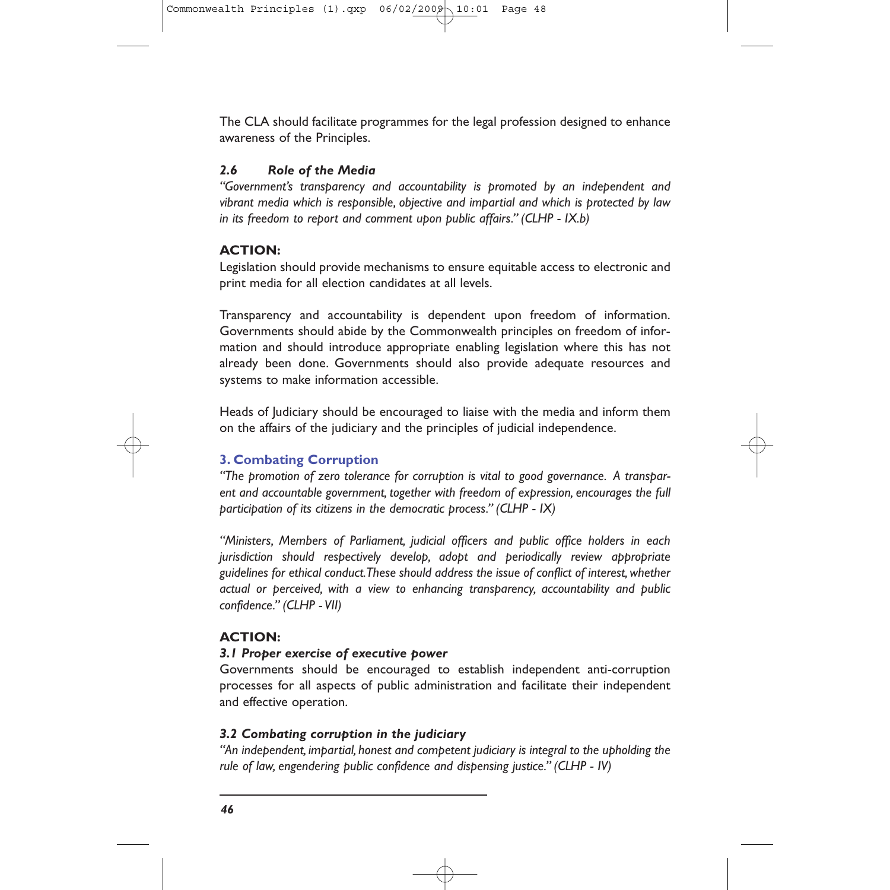The CLA should facilitate programmes for the legal profession designed to enhance awareness of the Principles.

# *2.6 Role of the Media*

*"Government's transparency and accountability is promoted by an independent and vibrant media which is responsible, objective and impartial and which is protected by law in its freedom to report and comment upon public affairs." (CLHP - IX.b)*

# **ACTION:**

Legislation should provide mechanisms to ensure equitable access to electronic and print media for all election candidates at all levels.

Transparency and accountability is dependent upon freedom of information. Governments should abide by the Commonwealth principles on freedom of information and should introduce appropriate enabling legislation where this has not already been done. Governments should also provide adequate resources and systems to make information accessible.

Heads of Judiciary should be encouraged to liaise with the media and inform them on the affairs of the judiciary and the principles of judicial independence.

# **3. Combating Corruption**

*"The promotion of zero tolerance for corruption is vital to good governance. A transparent and accountable government, together with freedom of expression, encourages the full participation of its citizens in the democratic process." (CLHP - IX)*

*"Ministers, Members of Parliament, judicial officers and public office holders in each jurisdiction should respectively develop, adopt and periodically review appropriate guidelines for ethical conduct.These should address the issue of conflict of interest, whether actual or perceived, with a view to enhancing transparency, accountability and public confidence." (CLHP - VII)* 

# **ACTION:**

# *3.1 Proper exercise of executive power*

Governments should be encouraged to establish independent anti-corruption processes for all aspects of public administration and facilitate their independent and effective operation.

#### *3.2 Combating corruption in the judiciary*

*"An independent, impartial, honest and competent judiciary is integral to the upholding the rule of law, engendering public confidence and dispensing justice." (CLHP - IV)*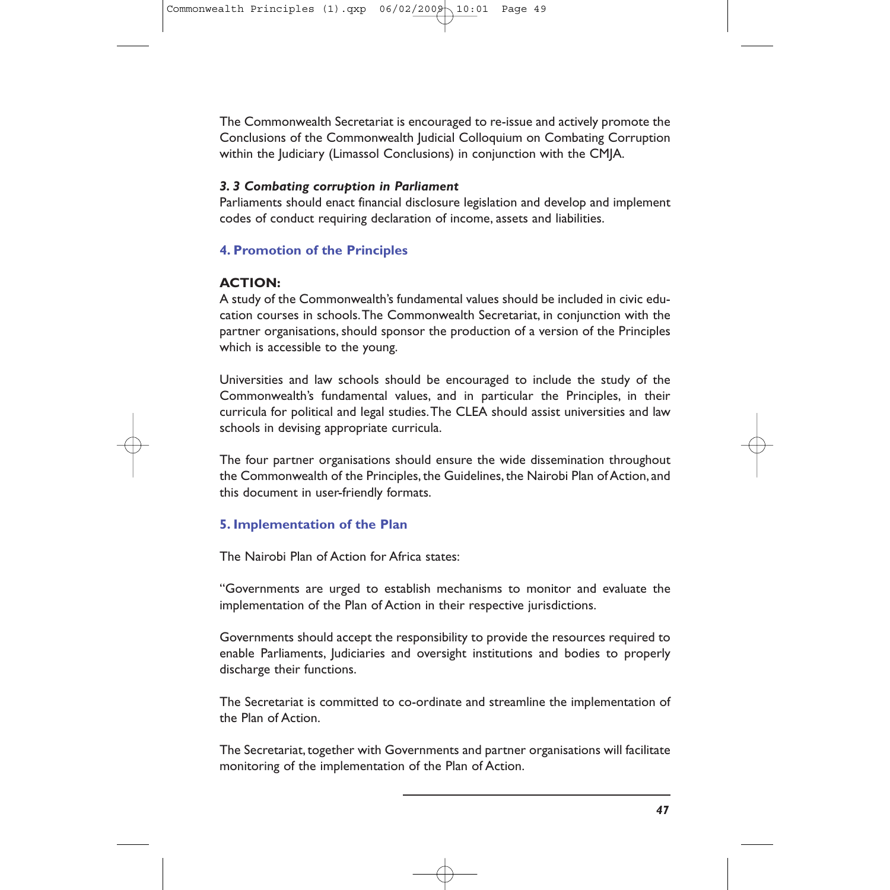The Commonwealth Secretariat is encouraged to re-issue and actively promote the Conclusions of the Commonwealth Judicial Colloquium on Combating Corruption within the Judiciary (Limassol Conclusions) in conjunction with the CMJA.

#### *3. 3 Combating corruption in Parliament*

Parliaments should enact financial disclosure legislation and develop and implement codes of conduct requiring declaration of income, assets and liabilities.

# **4. Promotion of the Principles**

# **ACTION:**

A study of the Commonwealth's fundamental values should be included in civic education courses in schools.The Commonwealth Secretariat, in conjunction with the partner organisations, should sponsor the production of a version of the Principles which is accessible to the young.

Universities and law schools should be encouraged to include the study of the Commonwealth's fundamental values, and in particular the Principles, in their curricula for political and legal studies.The CLEA should assist universities and law schools in devising appropriate curricula.

The four partner organisations should ensure the wide dissemination throughout the Commonwealth of the Principles, the Guidelines, the Nairobi Plan of Action, and this document in user-friendly formats.

# **5. Implementation of the Plan**

The Nairobi Plan of Action for Africa states:

"Governments are urged to establish mechanisms to monitor and evaluate the implementation of the Plan of Action in their respective jurisdictions.

Governments should accept the responsibility to provide the resources required to enable Parliaments, Judiciaries and oversight institutions and bodies to properly discharge their functions.

The Secretariat is committed to co-ordinate and streamline the implementation of the Plan of Action.

The Secretariat, together with Governments and partner organisations will facilitate monitoring of the implementation of the Plan of Action.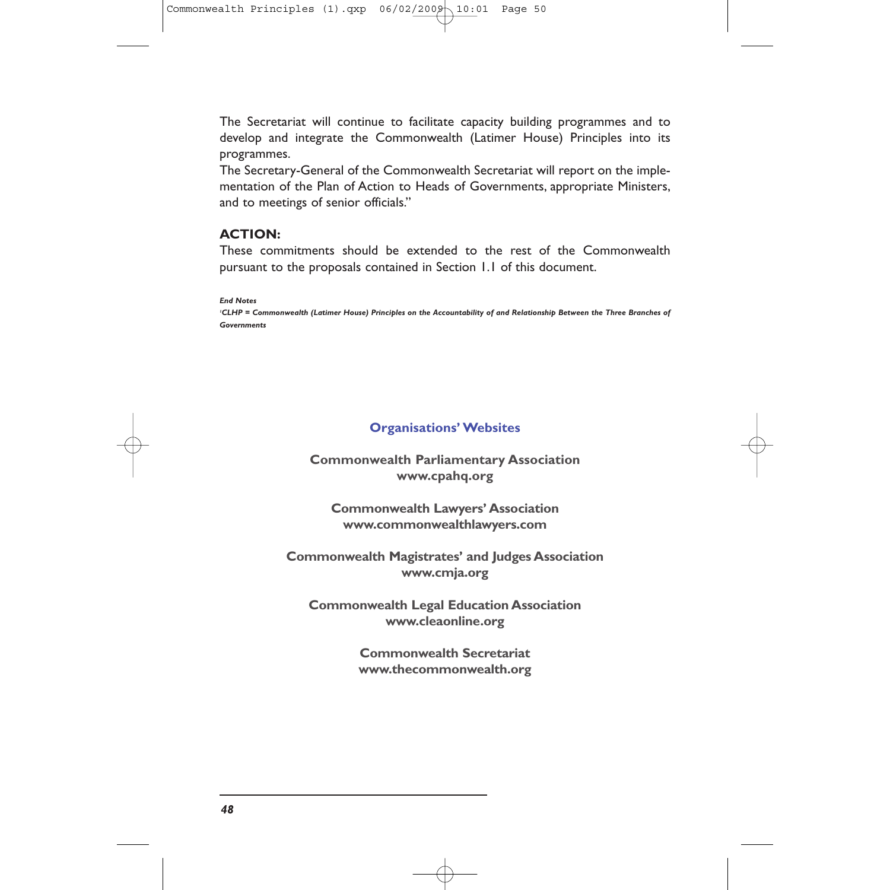The Secretariat will continue to facilitate capacity building programmes and to develop and integrate the Commonwealth (Latimer House) Principles into its programmes.

The Secretary-General of the Commonwealth Secretariat will report on the implementation of the Plan of Action to Heads of Governments, appropriate Ministers, and to meetings of senior officials."

# **ACTION:**

These commitments should be extended to the rest of the Commonwealth pursuant to the proposals contained in Section 1.1 of this document.

*End Notes*

*1 CLHP = Commonwealth (Latimer House) Principles on the Accountability of and Relationship Between the Three Branches of Governments*

# **Organisations' Websites**

**Commonwealth Parliamentary Association www.cpahq.org**

**Commonwealth Lawyers' Association www.commonwealthlawyers.com**

**Commonwealth Magistrates' and Judges Association www.cmja.org**

**Commonwealth Legal Education Association www.cleaonline.org**

> **Commonwealth Secretariat www.thecommonwealth.org**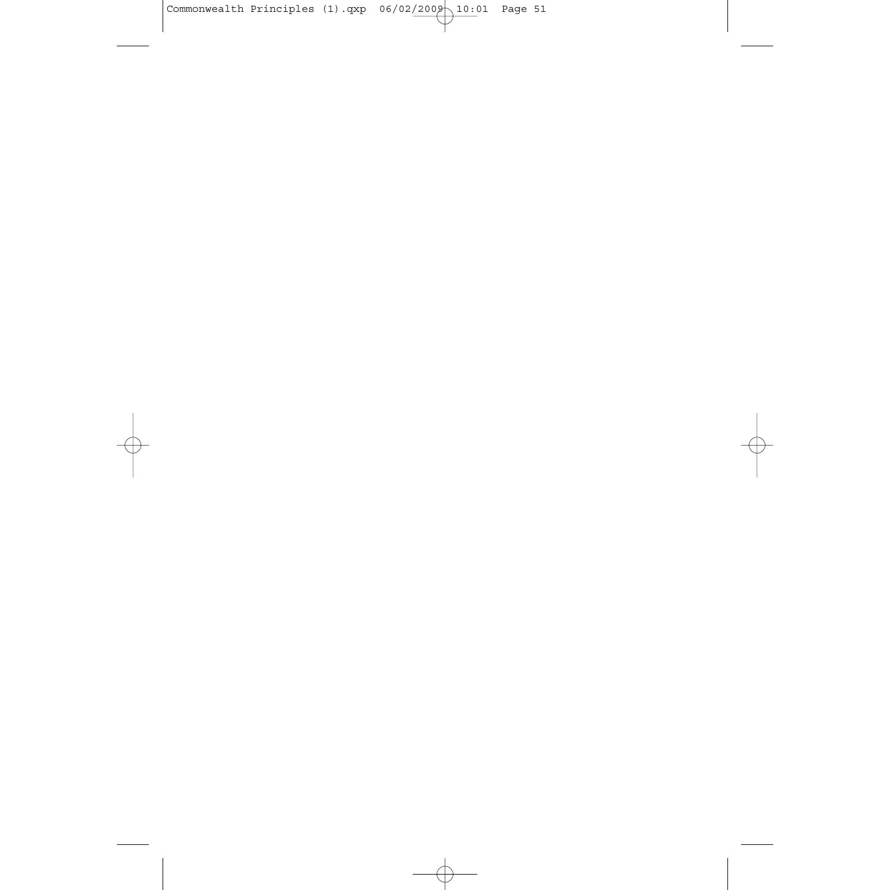Æ